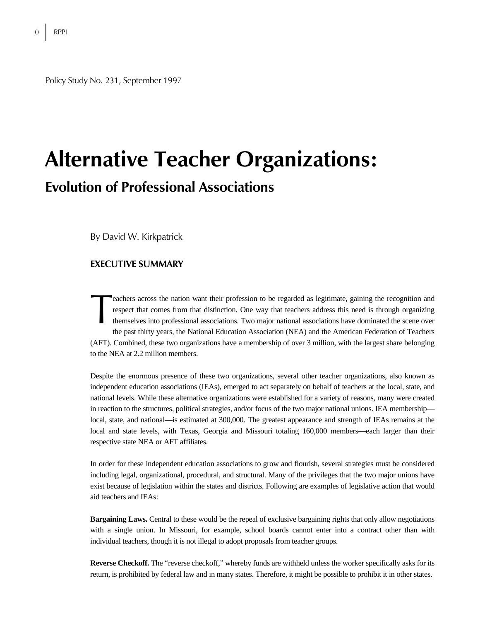Policy Study No. 231, September 1997

# **Alternative Teacher Organizations: Evolution of Professional Associations**

By David W. Kirkpatrick

### **EXECUTIVE SUMMARY**

eachers across the nation want their profession to be regarded as legitimate, gaining the recognition and respect that comes from that distinction. One way that teachers address this need is through organizing themselves into professional associations. Two major national associations have dominated the scene over the past thirty years, the National Education Association (NEA) and the American Federation of Teachers (AFT). Combined, these two organizations have a membership of over 3 million, with the largest share belonging to the NEA at 2.2 million members. eacl<br>resp<br>then

Despite the enormous presence of these two organizations, several other teacher organizations, also known as independent education associations (IEAs), emerged to act separately on behalf of teachers at the local, state, and national levels. While these alternative organizations were established for a variety of reasons, many were created in reaction to the structures, political strategies, and/or focus of the two major national unions. IEA membership local, state, and national—is estimated at 300,000. The greatest appearance and strength of IEAs remains at the local and state levels, with Texas, Georgia and Missouri totaling 160,000 members—each larger than their respective state NEA or AFT affiliates.

In order for these independent education associations to grow and flourish, several strategies must be considered including legal, organizational, procedural, and structural. Many of the privileges that the two major unions have exist because of legislation within the states and districts. Following are examples of legislative action that would aid teachers and IEAs:

**Bargaining Laws.** Central to these would be the repeal of exclusive bargaining rights that only allow negotiations with a single union. In Missouri, for example, school boards cannot enter into a contract other than with individual teachers, though it is not illegal to adopt proposals from teacher groups.

**Reverse Checkoff.** The "reverse checkoff," whereby funds are withheld unless the worker specifically asks for its return, is prohibited by federal law and in many states. Therefore, it might be possible to prohibit it in other states.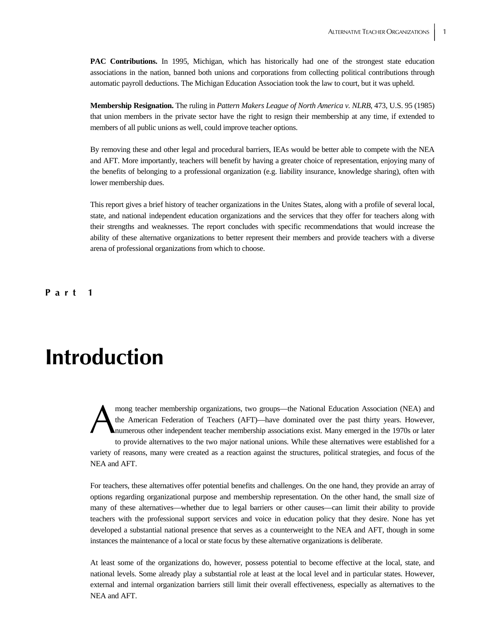**PAC Contributions.** In 1995, Michigan, which has historically had one of the strongest state education associations in the nation, banned both unions and corporations from collecting political contributions through automatic payroll deductions. The Michigan Education Association took the law to court, but it was upheld.

**Membership Resignation.** The ruling in *Pattern Makers League of North America v. NLRB*, 473, U.S. 95 (1985) that union members in the private sector have the right to resign their membership at any time, if extended to members of all public unions as well, could improve teacher options.

By removing these and other legal and procedural barriers, IEAs would be better able to compete with the NEA and AFT. More importantly, teachers will benefit by having a greater choice of representation, enjoying many of the benefits of belonging to a professional organization (e.g. liability insurance, knowledge sharing), often with lower membership dues.

This report gives a brief history of teacher organizations in the Unites States, along with a profile of several local, state, and national independent education organizations and the services that they offer for teachers along with their strengths and weaknesses. The report concludes with specific recommendations that would increase the ability of these alternative organizations to better represent their members and provide teachers with a diverse arena of professional organizations from which to choose.

**Part 1** 

# **Introduction**

mong teacher membership organizations, two groups—the National Education Association (NEA) and the American Federation of Teachers (AFT)—have dominated over the past thirty years. However, numerous other independent teacher membership associations exist. Many emerged in the 1970s or later to provide alternatives to the two major national unions. While these alternatives were established for a variety of reasons, many were created as a reaction against the structures, political strategies, and focus of the NEA and AFT. A

For teachers, these alternatives offer potential benefits and challenges. On the one hand, they provide an array of options regarding organizational purpose and membership representation. On the other hand, the small size of many of these alternatives—whether due to legal barriers or other causes—can limit their ability to provide teachers with the professional support services and voice in education policy that they desire. None has yet developed a substantial national presence that serves as a counterweight to the NEA and AFT, though in some instances the maintenance of a local or state focus by these alternative organizations is deliberate.

At least some of the organizations do, however, possess potential to become effective at the local, state, and national levels. Some already play a substantial role at least at the local level and in particular states. However, external and internal organization barriers still limit their overall effectiveness, especially as alternatives to the NEA and AFT.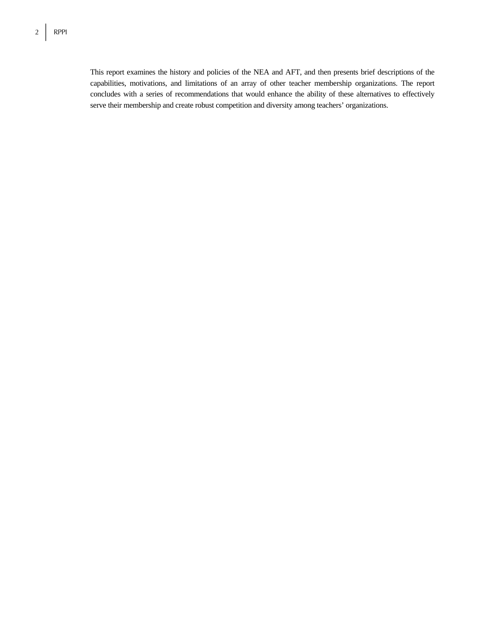This report examines the history and policies of the NEA and AFT, and then presents brief descriptions of the capabilities, motivations, and limitations of an array of other teacher membership organizations. The report concludes with a series of recommendations that would enhance the ability of these alternatives to effectively serve their membership and create robust competition and diversity among teachers' organizations.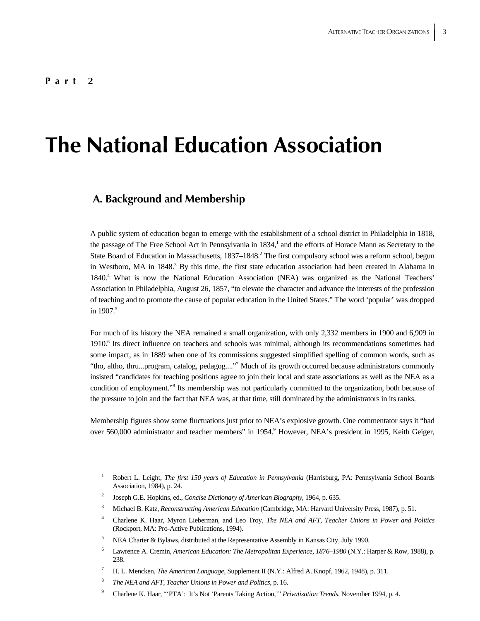# **The National Education Association**

## **A. Background and Membership**

A public system of education began to emerge with the establishment of a school district in Philadelphia in 1818, the passage of The Free School Act in Pennsylvania in 1834,<sup>1</sup> and the efforts of Horace Mann as Secretary to the State Board of Education in Massachusetts, 1837–1848.<sup>2</sup> The first compulsory school was a reform school, begun in Westboro, MA in 1848.<sup>3</sup> By this time, the first state education association had been created in Alabama in 1840.4 What is now the National Education Association (NEA) was organized as the National Teachers' Association in Philadelphia, August 26, 1857, "to elevate the character and advance the interests of the profession of teaching and to promote the cause of popular education in the United States." The word 'popular' was dropped in 1907. $5$ 

For much of its history the NEA remained a small organization, with only 2,332 members in 1900 and 6,909 in 1910.<sup>6</sup> Its direct influence on teachers and schools was minimal, although its recommendations sometimes had some impact, as in 1889 when one of its commissions suggested simplified spelling of common words, such as "tho, altho, thru...program, catalog, pedagog...."<sup>7</sup> Much of its growth occurred because administrators commonly insisted "candidates for teaching positions agree to join their local and state associations as well as the NEA as a condition of employment."<sup>8</sup> Its membership was not particularly committed to the organization, both because of the pressure to join and the fact that NEA was, at that time, still dominated by the administrators in its ranks.

Membership figures show some fluctuations just prior to NEA's explosive growth. One commentator says it "had over 560,000 administrator and teacher members" in 1954.<sup>9</sup> However, NEA's president in 1995, Keith Geiger,

 $\overline{\phantom{0}1}$  Robert L. Leight, *The first 150 years of Education in Pennsylvania* (Harrisburg, PA: Pennsylvania School Boards Association, 1984), p. 24.

<sup>2</sup> Joseph G.E. Hopkins, ed., *Concise Dictionary of American Biography*, 1964, p. 635.

<sup>3</sup> Michael B. Katz, *Reconstructing American Education* (Cambridge, MA: Harvard University Press, 1987), p. 51.

<sup>4</sup> Charlene K. Haar, Myron Lieberman, and Leo Troy, *The NEA and AFT, Teacher Unions in Power and Politics* (Rockport, MA: Pro-Active Publications, 1994).

<sup>5</sup> NEA Charter & Bylaws, distributed at the Representative Assembly in Kansas City, July 1990.

<sup>6</sup> Lawrence A. Cremin, *American Education: The Metropolitan Experience, 1876–1980* (N.Y.: Harper & Row, 1988), p. 238.

<sup>7</sup> H. L. Mencken, *The American Language*, Supplement II (N.Y.: Alfred A. Knopf, 1962, 1948), p. 311.

<sup>8</sup> *The NEA and AFT, Teacher Unions in Power and Politics*, p. 16.

<sup>9</sup> Charlene K. Haar, "'PTA': It's Not 'Parents Taking Action,'" *Privatization Trends*, November 1994, p. 4.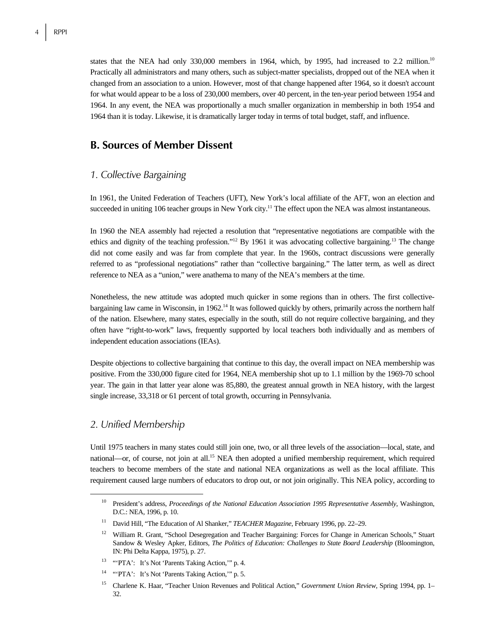states that the NEA had only 330,000 members in 1964, which, by 1995, had increased to 2.2 million.<sup>10</sup> Practically all administrators and many others, such as subject-matter specialists, dropped out of the NEA when it changed from an association to a union. However, most of that change happened after 1964, so it doesn't account for what would appear to be a loss of 230,000 members, over 40 percent, in the ten-year period between 1954 and 1964. In any event, the NEA was proportionally a much smaller organization in membership in both 1954 and 1964 than it is today. Likewise, it is dramatically larger today in terms of total budget, staff, and influence.

### **B. Sources of Member Dissent**

### *1. Collective Bargaining*

In 1961, the United Federation of Teachers (UFT), New York's local affiliate of the AFT, won an election and succeeded in uniting 106 teacher groups in New York city.<sup>11</sup> The effect upon the NEA was almost instantaneous.

In 1960 the NEA assembly had rejected a resolution that "representative negotiations are compatible with the ethics and dignity of the teaching profession."12 By 1961 it was advocating collective bargaining.13 The change did not come easily and was far from complete that year. In the 1960s, contract discussions were generally referred to as "professional negotiations" rather than "collective bargaining." The latter term, as well as direct reference to NEA as a "union," were anathema to many of the NEA's members at the time.

Nonetheless, the new attitude was adopted much quicker in some regions than in others. The first collectivebargaining law came in Wisconsin, in 1962.14 It was followed quickly by others, primarily across the northern half of the nation. Elsewhere, many states, especially in the south, still do not require collective bargaining, and they often have "right-to-work" laws, frequently supported by local teachers both individually and as members of independent education associations (IEAs).

Despite objections to collective bargaining that continue to this day, the overall impact on NEA membership was positive. From the 330,000 figure cited for 1964, NEA membership shot up to 1.1 million by the 1969-70 school year. The gain in that latter year alone was 85,880, the greatest annual growth in NEA history, with the largest single increase, 33,318 or 61 percent of total growth, occurring in Pennsylvania.

### *2. Unified Membership*

Until 1975 teachers in many states could still join one, two, or all three levels of the association—local, state, and national—or, of course, not join at all.15 NEA then adopted a unified membership requirement, which required teachers to become members of the state and national NEA organizations as well as the local affiliate. This requirement caused large numbers of educators to drop out, or not join originally. This NEA policy, according to

<sup>&</sup>lt;sup>10</sup> President's address, *Proceedings of the National Education Association 1995 Representative Assembly*, Washington, D.C.: NEA, 1996, p. 10.

<sup>11</sup> David Hill, "The Education of Al Shanker," *TEACHER Magazine*, February 1996, pp. 22–29.

<sup>&</sup>lt;sup>12</sup> William R. Grant, "School Desegregation and Teacher Bargaining: Forces for Change in American Schools," Stuart Sandow & Wesley Apker, Editors, *The Politics of Education: Challenges to State Board Leadership* (Bloomington, IN: Phi Delta Kappa, 1975), p. 27.

<sup>&</sup>lt;sup>13</sup> "PTA': It's Not 'Parents Taking Action," p. 4.

<sup>&</sup>lt;sup>14</sup> "PTA': It's Not 'Parents Taking Action," p. 5.

<sup>15</sup> Charlene K. Haar, "Teacher Union Revenues and Political Action," *Government Union Review*, Spring 1994, pp. 1– 32.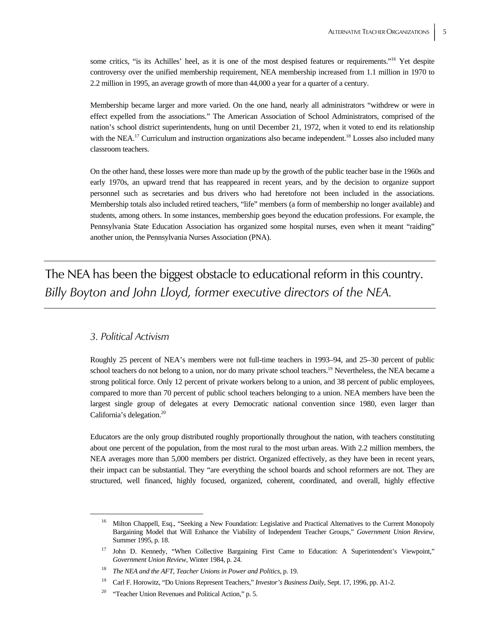some critics, "is its Achilles' heel, as it is one of the most despised features or requirements."<sup>16</sup> Yet despite controversy over the unified membership requirement, NEA membership increased from 1.1 million in 1970 to 2.2 million in 1995, an average growth of more than 44,000 a year for a quarter of a century.

Membership became larger and more varied. On the one hand, nearly all administrators "withdrew or were in effect expelled from the associations." The American Association of School Administrators, comprised of the nation's school district superintendents, hung on until December 21, 1972, when it voted to end its relationship with the NEA.<sup>17</sup> Curriculum and instruction organizations also became independent.<sup>18</sup> Losses also included many classroom teachers.

On the other hand, these losses were more than made up by the growth of the public teacher base in the 1960s and early 1970s, an upward trend that has reappeared in recent years, and by the decision to organize support personnel such as secretaries and bus drivers who had heretofore not been included in the associations. Membership totals also included retired teachers, "life" members (a form of membership no longer available) and students, among others. In some instances, membership goes beyond the education professions. For example, the Pennsylvania State Education Association has organized some hospital nurses, even when it meant "raiding" another union, the Pennsylvania Nurses Association (PNA).

The NEA has been the biggest obstacle to educational reform in this country. *Billy Boyton and John Lloyd, former executive directors of the NEA.*

### *3. Political Activism*

Roughly 25 percent of NEA's members were not full-time teachers in 1993–94, and 25–30 percent of public school teachers do not belong to a union, nor do many private school teachers.<sup>19</sup> Nevertheless, the NEA became a strong political force. Only 12 percent of private workers belong to a union, and 38 percent of public employees, compared to more than 70 percent of public school teachers belonging to a union. NEA members have been the largest single group of delegates at every Democratic national convention since 1980, even larger than California's delegation.<sup>20</sup>

Educators are the only group distributed roughly proportionally throughout the nation, with teachers constituting about one percent of the population, from the most rural to the most urban areas. With 2.2 million members, the NEA averages more than 5,000 members per district. Organized effectively, as they have been in recent years, their impact can be substantial. They "are everything the school boards and school reformers are not. They are structured, well financed, highly focused, organized, coherent, coordinated, and overall, highly effective

<sup>&</sup>lt;sup>16</sup> Milton Chappell, Esq., "Seeking a New Foundation: Legislative and Practical Alternatives to the Current Monopoly Bargaining Model that Will Enhance the Viability of Independent Teacher Groups," *Government Union Review*, Summer 1995, p. 18.

<sup>&</sup>lt;sup>17</sup> John D. Kennedy, "When Collective Bargaining First Came to Education: A Superintendent's Viewpoint," *Government Union Review,* Winter 1984, p. 24.

<sup>18</sup> *The NEA and the AFT, Teacher Unions in Power and Politics*, p. 19.

<sup>19</sup> Carl F. Horowitz, "Do Unions Represent Teachers," *Investor's Business Daily*, Sept. 17, 1996, pp. A1-2.

<sup>&</sup>lt;sup>20</sup> "Teacher Union Revenues and Political Action," p. 5.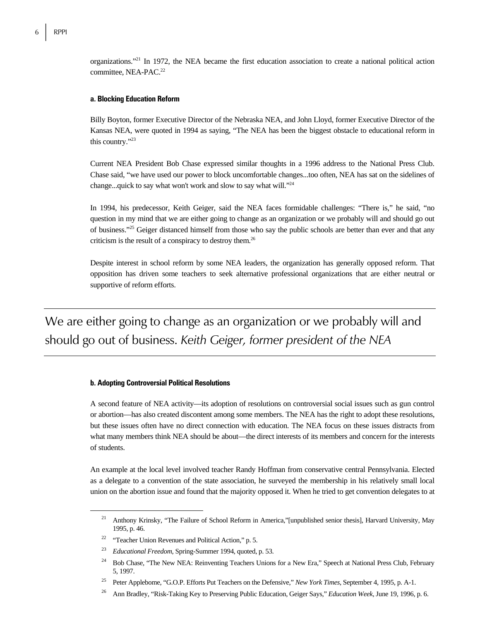organizations."21 In 1972, the NEA became the first education association to create a national political action committee, NEA-PAC.<sup>22</sup>

#### **a. Blocking Education Reform**

Billy Boyton, former Executive Director of the Nebraska NEA, and John Lloyd, former Executive Director of the Kansas NEA, were quoted in 1994 as saying, "The NEA has been the biggest obstacle to educational reform in this country."23

Current NEA President Bob Chase expressed similar thoughts in a 1996 address to the National Press Club. Chase said, "we have used our power to block uncomfortable changes...too often, NEA has sat on the sidelines of change...quick to say what won't work and slow to say what will."24

In 1994, his predecessor, Keith Geiger, said the NEA faces formidable challenges: "There is," he said, "no question in my mind that we are either going to change as an organization or we probably will and should go out of business."25 Geiger distanced himself from those who say the public schools are better than ever and that any criticism is the result of a conspiracy to destroy them.26

Despite interest in school reform by some NEA leaders, the organization has generally opposed reform. That opposition has driven some teachers to seek alternative professional organizations that are either neutral or supportive of reform efforts.

We are either going to change as an organization or we probably will and should go out of business. *Keith Geiger, former president of the NEA*

#### **b. Adopting Controversial Political Resolutions**

A second feature of NEA activity—its adoption of resolutions on controversial social issues such as gun control or abortion—has also created discontent among some members. The NEA has the right to adopt these resolutions, but these issues often have no direct connection with education. The NEA focus on these issues distracts from what many members think NEA should be about—the direct interests of its members and concern for the interests of students.

An example at the local level involved teacher Randy Hoffman from conservative central Pennsylvania. Elected as a delegate to a convention of the state association, he surveyed the membership in his relatively small local union on the abortion issue and found that the majority opposed it. When he tried to get convention delegates to at

<sup>&</sup>lt;sup>21</sup> Anthony Krinsky, "The Failure of School Reform in America,"[unpublished senior thesis], Harvard University, May 1995, p. 46.

<sup>&</sup>lt;sup>22</sup> "Teacher Union Revenues and Political Action," p. 5.

<sup>23</sup> *Educational Freedom*, Spring-Summer 1994, quoted, p. 53.

<sup>&</sup>lt;sup>24</sup> Bob Chase, "The New NEA: Reinventing Teachers Unions for a New Era," Speech at National Press Club, February 5, 1997.

<sup>25</sup> Peter Applebome, "G.O.P. Efforts Put Teachers on the Defensive," *New York Times*, September 4, 1995, p. A-1.

<sup>26</sup> Ann Bradley, "Risk-Taking Key to Preserving Public Education, Geiger Says," *Education Week*, June 19, 1996, p. 6.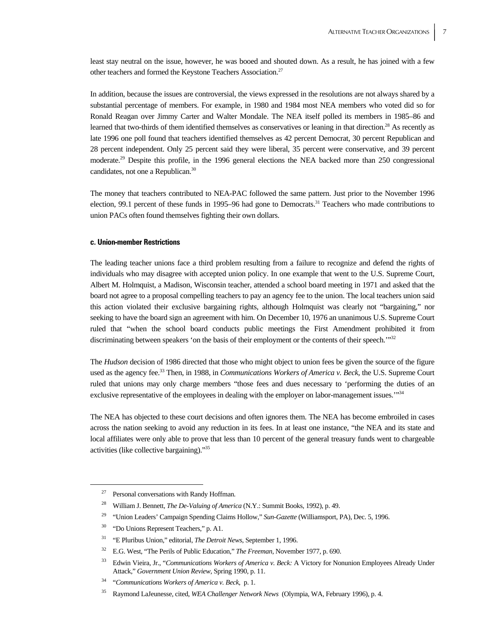least stay neutral on the issue, however, he was booed and shouted down. As a result, he has joined with a few other teachers and formed the Keystone Teachers Association.<sup>27</sup>

In addition, because the issues are controversial, the views expressed in the resolutions are not always shared by a substantial percentage of members. For example, in 1980 and 1984 most NEA members who voted did so for Ronald Reagan over Jimmy Carter and Walter Mondale. The NEA itself polled its members in 1985–86 and learned that two-thirds of them identified themselves as conservatives or leaning in that direction.28 As recently as late 1996 one poll found that teachers identified themselves as 42 percent Democrat, 30 percent Republican and 28 percent independent. Only 25 percent said they were liberal, 35 percent were conservative, and 39 percent moderate.29 Despite this profile, in the 1996 general elections the NEA backed more than 250 congressional candidates, not one a Republican.<sup>30</sup>

The money that teachers contributed to NEA-PAC followed the same pattern. Just prior to the November 1996 election, 99.1 percent of these funds in 1995–96 had gone to Democrats.<sup>31</sup> Teachers who made contributions to union PACs often found themselves fighting their own dollars.

#### **c. Union-member Restrictions**

The leading teacher unions face a third problem resulting from a failure to recognize and defend the rights of individuals who may disagree with accepted union policy. In one example that went to the U.S. Supreme Court, Albert M. Holmquist, a Madison, Wisconsin teacher, attended a school board meeting in 1971 and asked that the board not agree to a proposal compelling teachers to pay an agency fee to the union. The local teachers union said this action violated their exclusive bargaining rights, although Holmquist was clearly not "bargaining," nor seeking to have the board sign an agreement with him. On December 10, 1976 an unanimous U.S. Supreme Court ruled that "when the school board conducts public meetings the First Amendment prohibited it from discriminating between speakers 'on the basis of their employment or the contents of their speech.'"<sup>32</sup>

The *Hudson* decision of 1986 directed that those who might object to union fees be given the source of the figure used as the agency fee.33 Then, in 1988, in *Communications Workers of America v. Beck*, the U.S. Supreme Court ruled that unions may only charge members "those fees and dues necessary to 'performing the duties of an exclusive representative of the employees in dealing with the employer on labor-management issues.<sup>"34</sup>

The NEA has objected to these court decisions and often ignores them. The NEA has become embroiled in cases across the nation seeking to avoid any reduction in its fees. In at least one instance, "the NEA and its state and local affiliates were only able to prove that less than 10 percent of the general treasury funds went to chargeable activities (like collective bargaining)."35

Personal conversations with Randy Hoffman.

<sup>28</sup> William J. Bennett, *The De-Valuing of America* (N.Y.: Summit Books, 1992), p. 49.

<sup>&</sup>lt;sup>29</sup> "Union Leaders' Campaign Spending Claims Hollow," Sun-Gazette (Williamsport, PA), Dec. 5, 1996.

<sup>&</sup>lt;sup>30</sup> "Do Unions Represent Teachers," p. A1.

<sup>31 &</sup>quot;E Pluribus Union," editorial, *The Detroit News*, September 1, 1996.

<sup>32</sup> E.G. West, "The Perils of Public Education," *The Freeman*, November 1977, p. 690.

<sup>33</sup> Edwin Vieira, Jr., "*Communications Workers of America v. Beck:* A Victory for Nonunion Employees Already Under Attack," *Government Union Review*, Spring 1990, p. 11.

<sup>34 &</sup>quot;*Communications Workers of America v. Beck*, p. 1.

<sup>35</sup> Raymond LaJeunesse, cited, *WEA Challenger Network News* (Olympia, WA, February 1996), p. 4.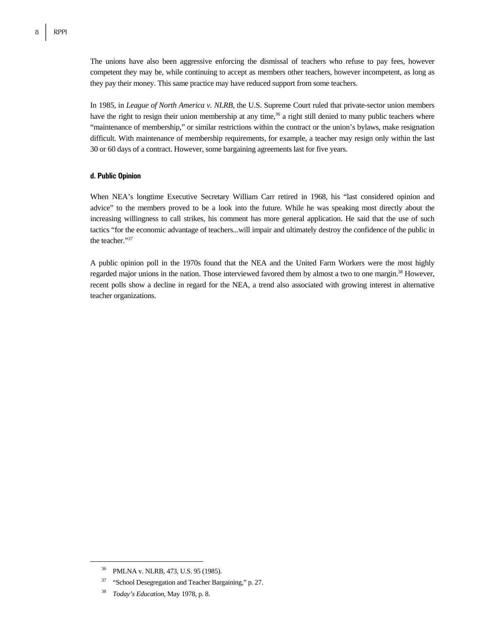The unions have also been aggressive enforcing the dismissal of teachers who refuse to pay fees, however competent they may be, while continuing to accept as members other teachers, however incompetent, as long as they pay their money. This same practice may have reduced support from some teachers.

In 1985, in *League of North America v. NLRB*, the U.S. Supreme Court ruled that private-sector union members have the right to resign their union membership at any time,<sup>36</sup> a right still denied to many public teachers where "maintenance of membership," or similar restrictions within the contract or the union's bylaws, make resignation difficult. With maintenance of membership requirements, for example, a teacher may resign only within the last 30 or 60 days of a contract. However, some bargaining agreements last for five years.

#### **d. Public Opinion**

When NEA's longtime Executive Secretary William Carr retired in 1968, his "last considered opinion and advice" to the members proved to be a look into the future. While he was speaking most directly about the increasing willingness to call strikes, his comment has more general application. He said that the use of such tactics "for the economic advantage of teachers...will impair and ultimately destroy the confidence of the public in the teacher."37

A public opinion poll in the 1970s found that the NEA and the United Farm Workers were the most highly regarded major unions in the nation. Those interviewed favored them by almost a two to one margin.<sup>38</sup> However, recent polls show a decline in regard for the NEA, a trend also associated with growing interest in alternative teacher organizations.

 <sup>36</sup> PMLNA v. NLRB, 473, U.S. 95 (1985).

<sup>&</sup>lt;sup>37</sup> "School Desegregation and Teacher Bargaining," p. 27.

<sup>38</sup> *Today's Education*, May 1978, p. 8.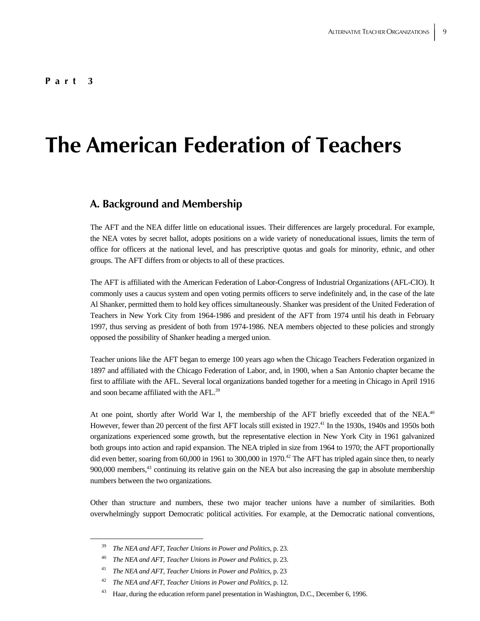#### **Part 3**

# **The American Federation of Teachers**

## **A. Background and Membership**

The AFT and the NEA differ little on educational issues. Their differences are largely procedural. For example, the NEA votes by secret ballot, adopts positions on a wide variety of noneducational issues, limits the term of office for officers at the national level, and has prescriptive quotas and goals for minority, ethnic, and other groups. The AFT differs from or objects to all of these practices.

The AFT is affiliated with the American Federation of Labor-Congress of Industrial Organizations (AFL-CIO). It commonly uses a caucus system and open voting permits officers to serve indefinitely and, in the case of the late Al Shanker, permitted them to hold key offices simultaneously. Shanker was president of the United Federation of Teachers in New York City from 1964-1986 and president of the AFT from 1974 until his death in February 1997, thus serving as president of both from 1974-1986. NEA members objected to these policies and strongly opposed the possibility of Shanker heading a merged union.

Teacher unions like the AFT began to emerge 100 years ago when the Chicago Teachers Federation organized in 1897 and affiliated with the Chicago Federation of Labor, and, in 1900, when a San Antonio chapter became the first to affiliate with the AFL. Several local organizations banded together for a meeting in Chicago in April 1916 and soon became affiliated with the AFL.<sup>39</sup>

At one point, shortly after World War I, the membership of the AFT briefly exceeded that of the NEA.<sup>40</sup> However, fewer than 20 percent of the first AFT locals still existed in 1927.<sup>41</sup> In the 1930s, 1940s and 1950s both organizations experienced some growth, but the representative election in New York City in 1961 galvanized both groups into action and rapid expansion. The NEA tripled in size from 1964 to 1970; the AFT proportionally did even better, soaring from 60,000 in 1961 to 300,000 in 1970.<sup>42</sup> The AFT has tripled again since then, to nearly 900,000 members,<sup>43</sup> continuing its relative gain on the NEA but also increasing the gap in absolute membership numbers between the two organizations.

Other than structure and numbers, these two major teacher unions have a number of similarities. Both overwhelmingly support Democratic political activities. For example, at the Democratic national conventions,

 <sup>39</sup> *The NEA and AFT, Teacher Unions in Power and Politics*, p. 23.

<sup>40</sup> *The NEA and AFT, Teacher Unions in Power and Politics*, p. 23.

<sup>41</sup> *The NEA and AFT, Teacher Unions in Power and Politics*, p. 23

<sup>42</sup> *The NEA and AFT, Teacher Unions in Power and Politics*, p. 12.

<sup>&</sup>lt;sup>43</sup> Haar, during the education reform panel presentation in Washington, D.C., December 6, 1996.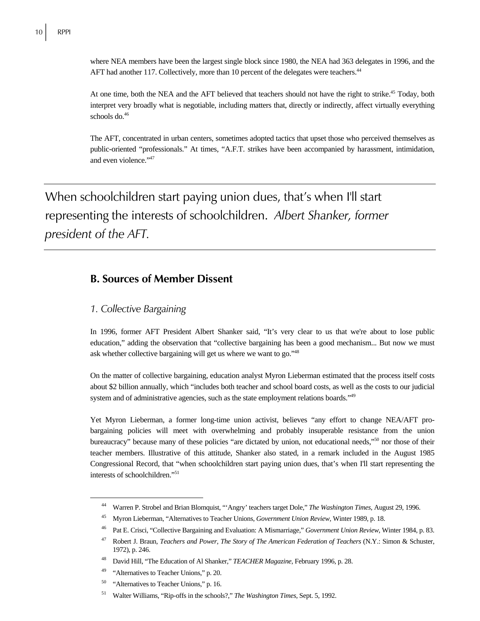where NEA members have been the largest single block since 1980, the NEA had 363 delegates in 1996, and the AFT had another 117. Collectively, more than 10 percent of the delegates were teachers.<sup>44</sup>

At one time, both the NEA and the AFT believed that teachers should not have the right to strike.<sup>45</sup> Today, both interpret very broadly what is negotiable, including matters that, directly or indirectly, affect virtually everything schools do.<sup>46</sup>

The AFT, concentrated in urban centers, sometimes adopted tactics that upset those who perceived themselves as public-oriented "professionals." At times, "A.F.T. strikes have been accompanied by harassment, intimidation, and even violence."<sup>47</sup>

When schoolchildren start paying union dues, that's when I'll start representing the interests of schoolchildren. *Albert Shanker, former president of the AFT.* 

## **B. Sources of Member Dissent**

### *1. Collective Bargaining*

In 1996, former AFT President Albert Shanker said, "It's very clear to us that we're about to lose public education," adding the observation that "collective bargaining has been a good mechanism... But now we must ask whether collective bargaining will get us where we want to go."48

On the matter of collective bargaining, education analyst Myron Lieberman estimated that the process itself costs about \$2 billion annually, which "includes both teacher and school board costs, as well as the costs to our judicial system and of administrative agencies, such as the state employment relations boards."<sup>49</sup>

Yet Myron Lieberman, a former long-time union activist, believes "any effort to change NEA/AFT probargaining policies will meet with overwhelming and probably insuperable resistance from the union bureaucracy" because many of these policies "are dictated by union, not educational needs,"50 nor those of their teacher members. Illustrative of this attitude, Shanker also stated, in a remark included in the August 1985 Congressional Record, that "when schoolchildren start paying union dues, that's when I'll start representing the interests of schoolchildren."51

 <sup>44</sup> Warren P. Strobel and Brian Blomquist, "'Angry' teachers target Dole," *The Washington Times*, August 29, 1996.

<sup>45</sup> Myron Lieberman, "Alternatives to Teacher Unions, *Government Union Review*, Winter 1989, p. 18.

<sup>46</sup> Pat E. Crisci, "Collective Bargaining and Evaluation: A Mismarriage," *Government Union Review*, Winter 1984, p. 83.

<sup>47</sup> Robert J. Braun, *Teachers and Power, The Story of The American Federation of Teachers* (N.Y.: Simon & Schuster, 1972), p. 246.

<sup>48</sup> David Hill, "The Education of Al Shanker," *TEACHER Magazine*, February 1996, p. 28.

<sup>&</sup>lt;sup>49</sup> "Alternatives to Teacher Unions," p. 20.

<sup>&</sup>lt;sup>50</sup> "Alternatives to Teacher Unions," p. 16.

<sup>51</sup> Walter Williams, "Rip-offs in the schools?," *The Washington Times*, Sept. 5, 1992.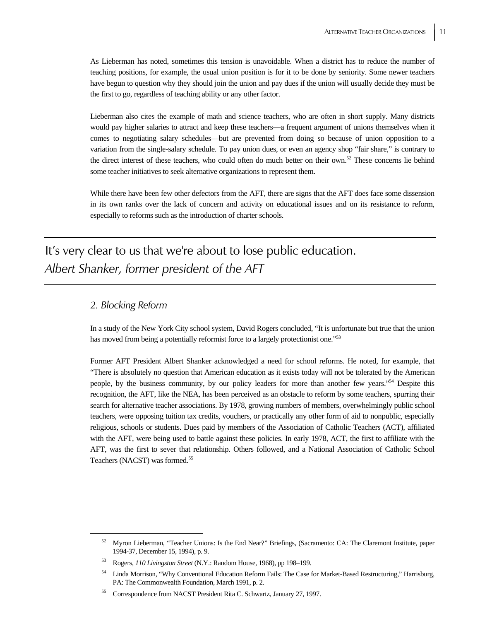As Lieberman has noted, sometimes this tension is unavoidable. When a district has to reduce the number of teaching positions, for example, the usual union position is for it to be done by seniority. Some newer teachers have begun to question why they should join the union and pay dues if the union will usually decide they must be the first to go, regardless of teaching ability or any other factor.

Lieberman also cites the example of math and science teachers, who are often in short supply. Many districts would pay higher salaries to attract and keep these teachers—a frequent argument of unions themselves when it comes to negotiating salary schedules—but are prevented from doing so because of union opposition to a variation from the single-salary schedule. To pay union dues, or even an agency shop "fair share," is contrary to the direct interest of these teachers, who could often do much better on their own.<sup>52</sup> These concerns lie behind some teacher initiatives to seek alternative organizations to represent them.

While there have been few other defectors from the AFT, there are signs that the AFT does face some dissension in its own ranks over the lack of concern and activity on educational issues and on its resistance to reform, especially to reforms such as the introduction of charter schools.

It's very clear to us that we're about to lose public education. *Albert Shanker, former president of the AFT*

### *2. Blocking Reform*

In a study of the New York City school system, David Rogers concluded, "It is unfortunate but true that the union has moved from being a potentially reformist force to a largely protectionist one."<sup>53</sup>

Former AFT President Albert Shanker acknowledged a need for school reforms. He noted, for example, that "There is absolutely no question that American education as it exists today will not be tolerated by the American people, by the business community, by our policy leaders for more than another few years."54 Despite this recognition, the AFT, like the NEA, has been perceived as an obstacle to reform by some teachers, spurring their search for alternative teacher associations. By 1978, growing numbers of members, overwhelmingly public school teachers, were opposing tuition tax credits, vouchers, or practically any other form of aid to nonpublic, especially religious, schools or students. Dues paid by members of the Association of Catholic Teachers (ACT), affiliated with the AFT, were being used to battle against these policies. In early 1978, ACT, the first to affiliate with the AFT, was the first to sever that relationship. Others followed, and a National Association of Catholic School Teachers (NACST) was formed.<sup>55</sup>

 <sup>52</sup> Myron Lieberman, "Teacher Unions: Is the End Near?" Briefings, (Sacramento: CA: The Claremont Institute, paper 1994-37, December 15, 1994), p. 9.

<sup>53</sup> Rogers, *110 Livingston Street* (N.Y.: Random House, 1968), pp 198–199.

<sup>54</sup> Linda Morrison, "Why Conventional Education Reform Fails: The Case for Market-Based Restructuring," Harrisburg, PA: The Commonwealth Foundation, March 1991, p. 2.

<sup>55</sup> Correspondence from NACST President Rita C. Schwartz, January 27, 1997.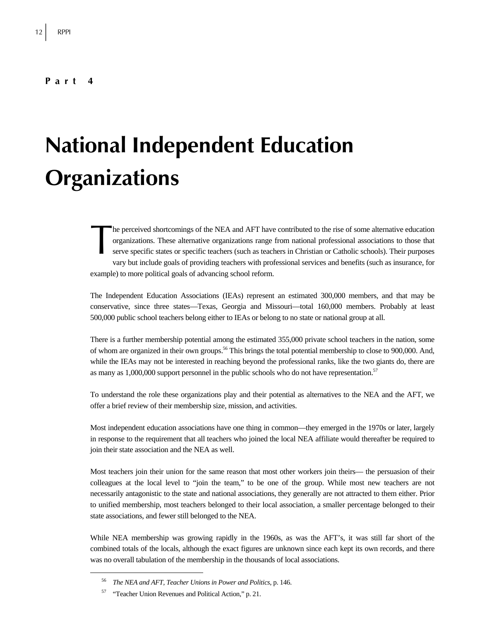# **National Independent Education Organizations**

he perceived shortcomings of the NEA and AFT have contributed to the rise of some alternative education organizations. These alternative organizations range from national professional associations to those that serve specific states or specific teachers (such as teachers in Christian or Catholic schools). Their purposes vary but include goals of providing teachers with professional services and benefits (such as insurance, for example) to more political goals of advancing school reform. The post of the post of the post of the post of the post of the post of the post of the post of the post of the post of the post of the post of the post of the post of the post of the post of the post of the post of the po

The Independent Education Associations (IEAs) represent an estimated 300,000 members, and that may be conservative, since three states—Texas, Georgia and Missouri—total 160,000 members. Probably at least 500,000 public school teachers belong either to IEAs or belong to no state or national group at all.

There is a further membership potential among the estimated 355,000 private school teachers in the nation, some of whom are organized in their own groups.56 This brings the total potential membership to close to 900,000. And, while the IEAs may not be interested in reaching beyond the professional ranks, like the two giants do, there are as many as 1,000,000 support personnel in the public schools who do not have representation.<sup>57</sup>

To understand the role these organizations play and their potential as alternatives to the NEA and the AFT, we offer a brief review of their membership size, mission, and activities.

Most independent education associations have one thing in common—they emerged in the 1970s or later, largely in response to the requirement that all teachers who joined the local NEA affiliate would thereafter be required to join their state association and the NEA as well.

Most teachers join their union for the same reason that most other workers join theirs— the persuasion of their colleagues at the local level to "join the team," to be one of the group. While most new teachers are not necessarily antagonistic to the state and national associations, they generally are not attracted to them either. Prior to unified membership, most teachers belonged to their local association, a smaller percentage belonged to their state associations, and fewer still belonged to the NEA.

While NEA membership was growing rapidly in the 1960s, as was the AFT's, it was still far short of the combined totals of the locals, although the exact figures are unknown since each kept its own records, and there was no overall tabulation of the membership in the thousands of local associations.

 <sup>56</sup> *The NEA and AFT, Teacher Unions in Power and Politics*, p. 146.

<sup>57 &</sup>quot;Teacher Union Revenues and Political Action," p. 21.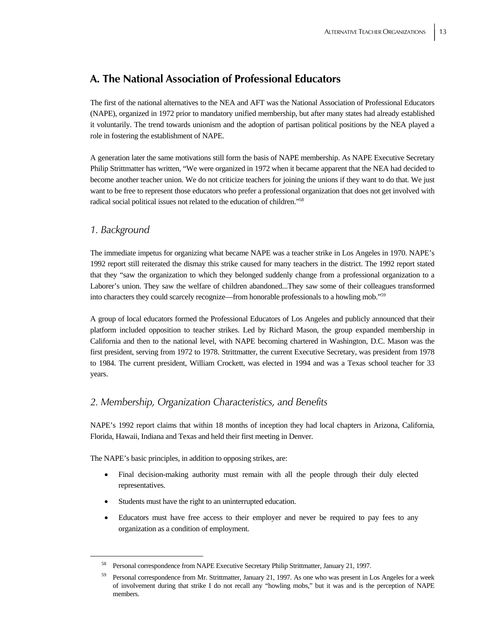# **A. The National Association of Professional Educators**

The first of the national alternatives to the NEA and AFT was the National Association of Professional Educators (NAPE), organized in 1972 prior to mandatory unified membership, but after many states had already established it voluntarily. The trend towards unionism and the adoption of partisan political positions by the NEA played a role in fostering the establishment of NAPE.

A generation later the same motivations still form the basis of NAPE membership. As NAPE Executive Secretary Philip Strittmatter has written, "We were organized in 1972 when it became apparent that the NEA had decided to become another teacher union. We do not criticize teachers for joining the unions if they want to do that. We just want to be free to represent those educators who prefer a professional organization that does not get involved with radical social political issues not related to the education of children."58

### *1. Background*

The immediate impetus for organizing what became NAPE was a teacher strike in Los Angeles in 1970. NAPE's 1992 report still reiterated the dismay this strike caused for many teachers in the district. The 1992 report stated that they "saw the organization to which they belonged suddenly change from a professional organization to a Laborer's union. They saw the welfare of children abandoned...They saw some of their colleagues transformed into characters they could scarcely recognize—from honorable professionals to a howling mob."59

A group of local educators formed the Professional Educators of Los Angeles and publicly announced that their platform included opposition to teacher strikes. Led by Richard Mason, the group expanded membership in California and then to the national level, with NAPE becoming chartered in Washington, D.C. Mason was the first president, serving from 1972 to 1978. Strittmatter, the current Executive Secretary, was president from 1978 to 1984. The current president, William Crockett, was elected in 1994 and was a Texas school teacher for 33 years.

### *2. Membership, Organization Characteristics, and Benefits*

NAPE's 1992 report claims that within 18 months of inception they had local chapters in Arizona, California, Florida, Hawaii, Indiana and Texas and held their first meeting in Denver.

The NAPE's basic principles, in addition to opposing strikes, are:

- Final decision-making authority must remain with all the people through their duly elected representatives.
- Students must have the right to an uninterrupted education.
- Educators must have free access to their employer and never be required to pay fees to any organization as a condition of employment.

 <sup>58</sup> Personal correspondence from NAPE Executive Secretary Philip Strittmatter, January 21, 1997.

<sup>&</sup>lt;sup>59</sup> Personal correspondence from Mr. Strittmatter, January 21, 1997. As one who was present in Los Angeles for a week of involvement during that strike I do not recall any "howling mobs," but it was and is the perception of NAPE members.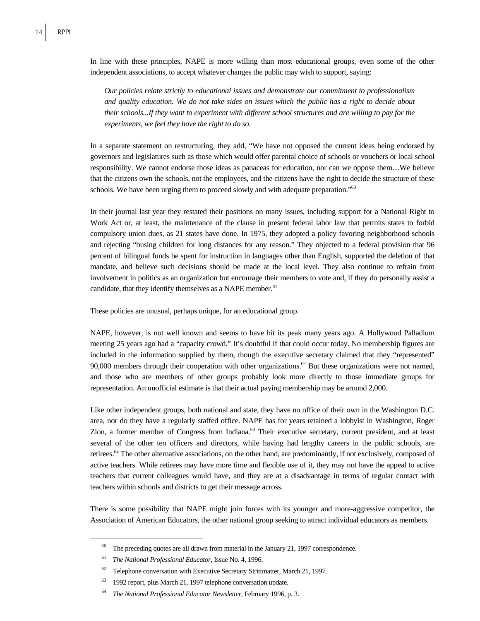In line with these principles, NAPE is more willing than most educational groups, even some of the other independent associations, to accept whatever changes the public may wish to support, saying:

*Our policies relate strictly to educational issues and demonstrate our commitment to professionalism and quality education. We do not take sides on issues which the public has a right to decide about their schools...If they want to experiment with different school structures and are willing to pay for the experiments, we feel they have the right to do so.* 

In a separate statement on restructuring, they add, "We have not opposed the current ideas being endorsed by governors and legislatures such as those which would offer parental choice of schools or vouchers or local school responsibility. We cannot endorse those ideas as panaceas for education, nor can we oppose them....We believe that the citizens own the schools, not the employees, and the citizens have the right to decide the structure of these schools. We have been urging them to proceed slowly and with adequate preparation."<sup>60</sup>

In their journal last year they restated their positions on many issues, including support for a National Right to Work Act or, at least, the maintenance of the clause in present federal labor law that permits states to forbid compulsory union dues, as 21 states have done. In 1975, they adopted a policy favoring neighborhood schools and rejecting "busing children for long distances for any reason." They objected to a federal provision that 96 percent of bilingual funds be spent for instruction in languages other than English, supported the deletion of that mandate, and believe such decisions should be made at the local level. They also continue to refrain from involvement in politics as an organization but encourage their members to vote and, if they do personally assist a candidate, that they identify themselves as a NAPE member.<sup>61</sup>

These policies are unusual, perhaps unique, for an educational group.

NAPE, however, is not well known and seems to have hit its peak many years ago. A Hollywood Palladium meeting 25 years ago had a "capacity crowd." It's doubtful if that could occur today. No membership figures are included in the information supplied by them, though the executive secretary claimed that they "represented" 90,000 members through their cooperation with other organizations.<sup>62</sup> But these organizations were not named, and those who are members of other groups probably look more directly to those immediate groups for representation. An unofficial estimate is that their actual paying membership may be around 2,000.

Like other independent groups, both national and state, they have no office of their own in the Washington D.C. area, nor do they have a regularly staffed office. NAPE has for years retained a lobbyist in Washington, Roger Zion, a former member of Congress from Indiana.63 Their executive secretary, current president, and at least several of the other ten officers and directors, while having had lengthy careers in the public schools, are retirees.64 The other alternative associations, on the other hand, are predominantly, if not exclusively, composed of active teachers. While retirees may have more time and flexible use of it, they may not have the appeal to active teachers that current colleagues would have, and they are at a disadvantage in terms of regular contact with teachers within schools and districts to get their message across.

There is some possibility that NAPE might join forces with its younger and more-aggressive competitor, the Association of American Educators, the other national group seeking to attract individual educators as members.

 $60$  The preceding quotes are all drawn from material in the January 21, 1997 correspondence.

<sup>61</sup> *The National Professional Educator*, Issue No. 4, 1996.

 $62$  Telephone conversation with Executive Secretary Strittmatter, March 21, 1997.

<sup>63 1992</sup> report, plus March 21, 1997 telephone conversation update.

<sup>64</sup> *The National Professional Educator Newsletter*, February 1996, p. 3.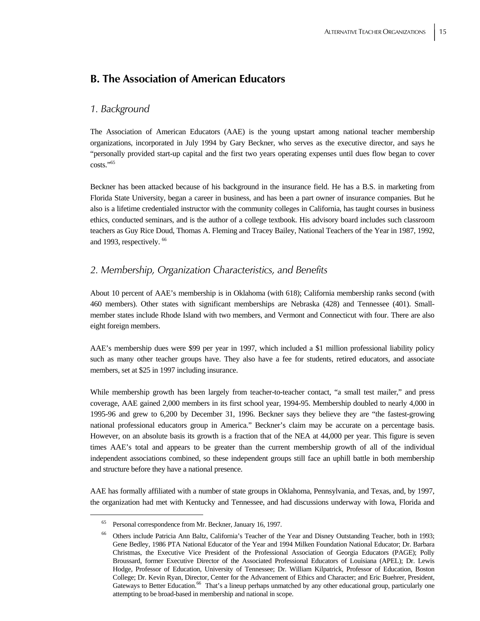# **B. The Association of American Educators**

### *1. Background*

The Association of American Educators (AAE) is the young upstart among national teacher membership organizations, incorporated in July 1994 by Gary Beckner, who serves as the executive director, and says he "personally provided start-up capital and the first two years operating expenses until dues flow began to cover costs."65

Beckner has been attacked because of his background in the insurance field. He has a B.S. in marketing from Florida State University, began a career in business, and has been a part owner of insurance companies. But he also is a lifetime credentialed instructor with the community colleges in California, has taught courses in business ethics, conducted seminars, and is the author of a college textbook. His advisory board includes such classroom teachers as Guy Rice Doud, Thomas A. Fleming and Tracey Bailey, National Teachers of the Year in 1987, 1992, and 1993, respectively. 66

### *2. Membership, Organization Characteristics, and Benefits*

About 10 percent of AAE's membership is in Oklahoma (with 618); California membership ranks second (with 460 members). Other states with significant memberships are Nebraska (428) and Tennessee (401). Smallmember states include Rhode Island with two members, and Vermont and Connecticut with four. There are also eight foreign members.

AAE's membership dues were \$99 per year in 1997, which included a \$1 million professional liability policy such as many other teacher groups have. They also have a fee for students, retired educators, and associate members, set at \$25 in 1997 including insurance.

While membership growth has been largely from teacher-to-teacher contact, "a small test mailer," and press coverage, AAE gained 2,000 members in its first school year, 1994-95. Membership doubled to nearly 4,000 in 1995-96 and grew to 6,200 by December 31, 1996. Beckner says they believe they are "the fastest-growing national professional educators group in America." Beckner's claim may be accurate on a percentage basis. However, on an absolute basis its growth is a fraction that of the NEA at 44,000 per year. This figure is seven times AAE's total and appears to be greater than the current membership growth of all of the individual independent associations combined, so these independent groups still face an uphill battle in both membership and structure before they have a national presence.

AAE has formally affiliated with a number of state groups in Oklahoma, Pennsylvania, and Texas, and, by 1997, the organization had met with Kentucky and Tennessee, and had discussions underway with Iowa, Florida and

 <sup>65</sup> Personal correspondence from Mr. Beckner, January 16, 1997.

<sup>&</sup>lt;sup>66</sup> Others include Patricia Ann Baltz, California's Teacher of the Year and Disney Outstanding Teacher, both in 1993; Gene Bedley, 1986 PTA National Educator of the Year and 1994 Milken Foundation National Educator; Dr. Barbara Christmas, the Executive Vice President of the Professional Association of Georgia Educators (PAGE); Polly Broussard, former Executive Director of the Associated Professional Educators of Louisiana (APEL); Dr. Lewis Hodge, Professor of Education, University of Tennessee; Dr. William Kilpatrick, Professor of Education, Boston College; Dr. Kevin Ryan, Director, Center for the Advancement of Ethics and Character; and Eric Buehrer, President, Gateways to Better Education.<sup>66</sup> That's a lineup perhaps unmatched by any other educational group, particularly one attempting to be broad-based in membership and national in scope.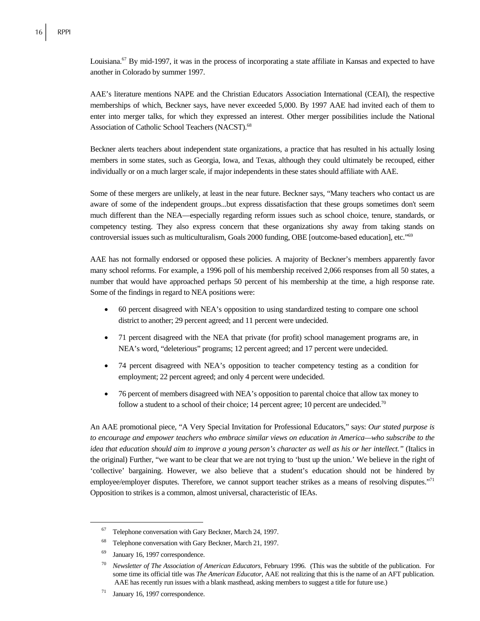Louisiana.<sup>67</sup> By mid-1997, it was in the process of incorporating a state affiliate in Kansas and expected to have another in Colorado by summer 1997.

AAE's literature mentions NAPE and the Christian Educators Association International (CEAI), the respective memberships of which, Beckner says, have never exceeded 5,000. By 1997 AAE had invited each of them to enter into merger talks, for which they expressed an interest. Other merger possibilities include the National Association of Catholic School Teachers (NACST).<sup>68</sup>

Beckner alerts teachers about independent state organizations, a practice that has resulted in his actually losing members in some states, such as Georgia, Iowa, and Texas, although they could ultimately be recouped, either individually or on a much larger scale, if major independents in these states should affiliate with AAE.

Some of these mergers are unlikely, at least in the near future. Beckner says, "Many teachers who contact us are aware of some of the independent groups...but express dissatisfaction that these groups sometimes don't seem much different than the NEA—especially regarding reform issues such as school choice, tenure, standards, or competency testing. They also express concern that these organizations shy away from taking stands on controversial issues such as multiculturalism, Goals 2000 funding, OBE [outcome-based education], etc."69

AAE has not formally endorsed or opposed these policies. A majority of Beckner's members apparently favor many school reforms. For example, a 1996 poll of his membership received 2,066 responses from all 50 states, a number that would have approached perhaps 50 percent of his membership at the time, a high response rate. Some of the findings in regard to NEA positions were:

- 60 percent disagreed with NEA's opposition to using standardized testing to compare one school district to another; 29 percent agreed; and 11 percent were undecided.
- 71 percent disagreed with the NEA that private (for profit) school management programs are, in NEA's word, "deleterious" programs; 12 percent agreed; and 17 percent were undecided.
- 74 percent disagreed with NEA's opposition to teacher competency testing as a condition for employment; 22 percent agreed; and only 4 percent were undecided.
- 76 percent of members disagreed with NEA's opposition to parental choice that allow tax money to follow a student to a school of their choice; 14 percent agree; 10 percent are undecided.<sup>70</sup>

An AAE promotional piece, "A Very Special Invitation for Professional Educators," says: *Our stated purpose is to encourage and empower teachers who embrace similar views on education in America—who subscribe to the idea that education should aim to improve a young person's character as well as his or her intellect."* (Italics in the original) Further, "we want to be clear that we are not trying to 'bust up the union.' We believe in the right of 'collective' bargaining. However, we also believe that a student's education should not be hindered by employee/employer disputes. Therefore, we cannot support teacher strikes as a means of resolving disputes."<sup>71</sup> Opposition to strikes is a common, almost universal, characteristic of IEAs.

 <sup>67</sup> Telephone conversation with Gary Beckner, March 24, 1997.

<sup>68</sup> Telephone conversation with Gary Beckner, March 21, 1997.

<sup>69</sup> January 16, 1997 correspondence.

<sup>70</sup> *Newsletter of The Association of American Educators*, February 1996. (This was the subtitle of the publication. For some time its official title was *The American Educator*, AAE not realizing that this is the name of an AFT publication. AAE has recently run issues with a blank masthead, asking members to suggest a title for future use.)

 $71$  January 16, 1997 correspondence.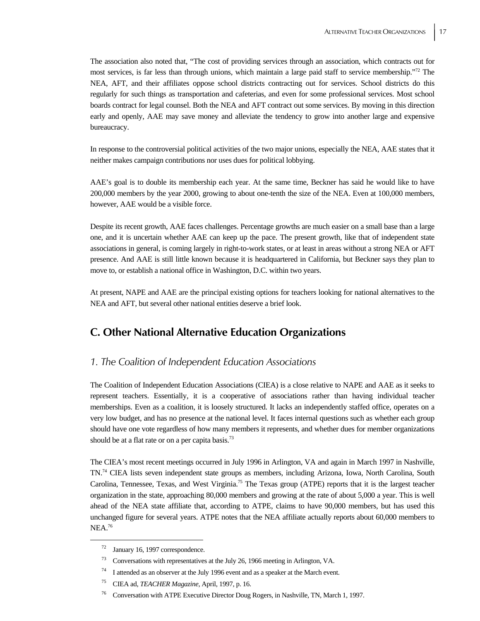The association also noted that, "The cost of providing services through an association, which contracts out for most services, is far less than through unions, which maintain a large paid staff to service membership."72 The NEA, AFT, and their affiliates oppose school districts contracting out for services. School districts do this regularly for such things as transportation and cafeterias, and even for some professional services. Most school boards contract for legal counsel. Both the NEA and AFT contract out some services. By moving in this direction early and openly, AAE may save money and alleviate the tendency to grow into another large and expensive bureaucracy.

In response to the controversial political activities of the two major unions, especially the NEA, AAE states that it neither makes campaign contributions nor uses dues for political lobbying.

AAE's goal is to double its membership each year. At the same time, Beckner has said he would like to have 200,000 members by the year 2000, growing to about one-tenth the size of the NEA. Even at 100,000 members, however, AAE would be a visible force.

Despite its recent growth, AAE faces challenges. Percentage growths are much easier on a small base than a large one, and it is uncertain whether AAE can keep up the pace. The present growth, like that of independent state associations in general, is coming largely in right-to-work states, or at least in areas without a strong NEA or AFT presence. And AAE is still little known because it is headquartered in California, but Beckner says they plan to move to, or establish a national office in Washington, D.C. within two years.

At present, NAPE and AAE are the principal existing options for teachers looking for national alternatives to the NEA and AFT, but several other national entities deserve a brief look.

## **C. Other National Alternative Education Organizations**

### *1. The Coalition of Independent Education Associations*

The Coalition of Independent Education Associations (CIEA) is a close relative to NAPE and AAE as it seeks to represent teachers. Essentially, it is a cooperative of associations rather than having individual teacher memberships. Even as a coalition, it is loosely structured. It lacks an independently staffed office, operates on a very low budget, and has no presence at the national level. It faces internal questions such as whether each group should have one vote regardless of how many members it represents, and whether dues for member organizations should be at a flat rate or on a per capita basis.<sup>73</sup>

The CIEA's most recent meetings occurred in July 1996 in Arlington, VA and again in March 1997 in Nashville, TN.74 CIEA lists seven independent state groups as members, including Arizona, Iowa, North Carolina, South Carolina, Tennessee, Texas, and West Virginia.75 The Texas group (ATPE) reports that it is the largest teacher organization in the state, approaching 80,000 members and growing at the rate of about 5,000 a year. This is well ahead of the NEA state affiliate that, according to ATPE, claims to have 90,000 members, but has used this unchanged figure for several years. ATPE notes that the NEA affiliate actually reports about 60,000 members to NEA.76

 <sup>72</sup> January 16, 1997 correspondence.

<sup>73</sup> Conversations with representatives at the July 26, 1966 meeting in Arlington, VA.

 $74$  I attended as an observer at the July 1996 event and as a speaker at the March event.

<sup>75</sup> CIEA ad, *TEACHER Magazine*, April, 1997, p. 16.

<sup>76</sup> Conversation with ATPE Executive Director Doug Rogers, in Nashville, TN, March 1, 1997.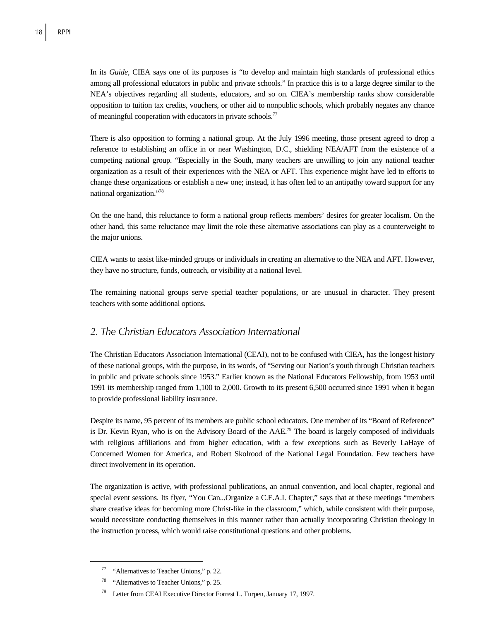In its *Guide*, CIEA says one of its purposes is "to develop and maintain high standards of professional ethics among all professional educators in public and private schools." In practice this is to a large degree similar to the NEA's objectives regarding all students, educators, and so on. CIEA's membership ranks show considerable opposition to tuition tax credits, vouchers, or other aid to nonpublic schools, which probably negates any chance of meaningful cooperation with educators in private schools.<sup>77</sup>

There is also opposition to forming a national group. At the July 1996 meeting, those present agreed to drop a reference to establishing an office in or near Washington, D.C., shielding NEA/AFT from the existence of a competing national group. "Especially in the South, many teachers are unwilling to join any national teacher organization as a result of their experiences with the NEA or AFT. This experience might have led to efforts to change these organizations or establish a new one; instead, it has often led to an antipathy toward support for any national organization."78

On the one hand, this reluctance to form a national group reflects members' desires for greater localism. On the other hand, this same reluctance may limit the role these alternative associations can play as a counterweight to the major unions.

CIEA wants to assist like-minded groups or individuals in creating an alternative to the NEA and AFT. However, they have no structure, funds, outreach, or visibility at a national level.

The remaining national groups serve special teacher populations, or are unusual in character. They present teachers with some additional options.

### *2. The Christian Educators Association International*

The Christian Educators Association International (CEAI), not to be confused with CIEA, has the longest history of these national groups, with the purpose, in its words, of "Serving our Nation's youth through Christian teachers in public and private schools since 1953." Earlier known as the National Educators Fellowship, from 1953 until 1991 its membership ranged from 1,100 to 2,000. Growth to its present 6,500 occurred since 1991 when it began to provide professional liability insurance.

Despite its name, 95 percent of its members are public school educators. One member of its "Board of Reference" is Dr. Kevin Ryan, who is on the Advisory Board of the  $AAE^{79}$  The board is largely composed of individuals with religious affiliations and from higher education, with a few exceptions such as Beverly LaHaye of Concerned Women for America, and Robert Skolrood of the National Legal Foundation. Few teachers have direct involvement in its operation.

The organization is active, with professional publications, an annual convention, and local chapter, regional and special event sessions. Its flyer, "You Can...Organize a C.E.A.I. Chapter," says that at these meetings "members share creative ideas for becoming more Christ-like in the classroom," which, while consistent with their purpose, would necessitate conducting themselves in this manner rather than actually incorporating Christian theology in the instruction process, which would raise constitutional questions and other problems.

 <sup>77 &</sup>quot;Alternatives to Teacher Unions," p. 22.

<sup>&</sup>quot;Alternatives to Teacher Unions," p. 25.

<sup>79</sup> Letter from CEAI Executive Director Forrest L. Turpen, January 17, 1997.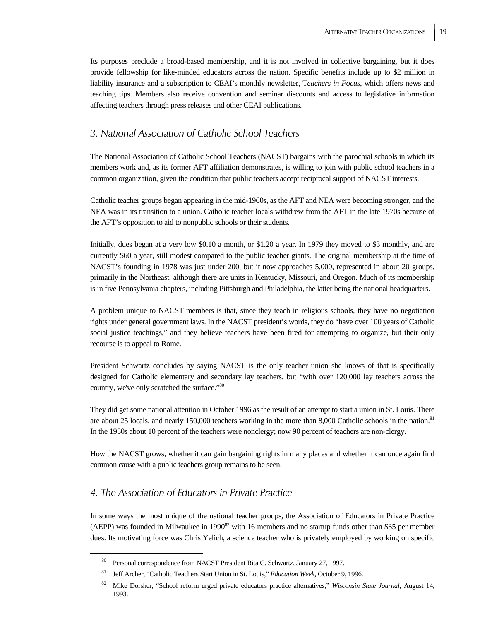Its purposes preclude a broad-based membership, and it is not involved in collective bargaining, but it does provide fellowship for like-minded educators across the nation. Specific benefits include up to \$2 million in liability insurance and a subscription to CEAI's monthly newsletter, T*eachers in Focus*, which offers news and teaching tips. Members also receive convention and seminar discounts and access to legislative information affecting teachers through press releases and other CEAI publications.

### *3. National Association of Catholic School Teachers*

The National Association of Catholic School Teachers (NACST) bargains with the parochial schools in which its members work and, as its former AFT affiliation demonstrates, is willing to join with public school teachers in a common organization, given the condition that public teachers accept reciprocal support of NACST interests.

Catholic teacher groups began appearing in the mid-1960s, as the AFT and NEA were becoming stronger, and the NEA was in its transition to a union. Catholic teacher locals withdrew from the AFT in the late 1970s because of the AFT's opposition to aid to nonpublic schools or their students.

Initially, dues began at a very low \$0.10 a month, or \$1.20 a year. In 1979 they moved to \$3 monthly, and are currently \$60 a year, still modest compared to the public teacher giants. The original membership at the time of NACST's founding in 1978 was just under 200, but it now approaches 5,000, represented in about 20 groups, primarily in the Northeast, although there are units in Kentucky, Missouri, and Oregon. Much of its membership is in five Pennsylvania chapters, including Pittsburgh and Philadelphia, the latter being the national headquarters.

A problem unique to NACST members is that, since they teach in religious schools, they have no negotiation rights under general government laws. In the NACST president's words, they do "have over 100 years of Catholic social justice teachings," and they believe teachers have been fired for attempting to organize, but their only recourse is to appeal to Rome.

President Schwartz concludes by saying NACST is the only teacher union she knows of that is specifically designed for Catholic elementary and secondary lay teachers, but "with over 120,000 lay teachers across the country, we've only scratched the surface."80

They did get some national attention in October 1996 as the result of an attempt to start a union in St. Louis. There are about 25 locals, and nearly 150,000 teachers working in the more than 8,000 Catholic schools in the nation.<sup>81</sup> In the 1950s about 10 percent of the teachers were nonclergy; now 90 percent of teachers are non-clergy.

How the NACST grows, whether it can gain bargaining rights in many places and whether it can once again find common cause with a public teachers group remains to be seen.

### *4. The Association of Educators in Private Practice*

In some ways the most unique of the national teacher groups, the Association of Educators in Private Practice (AEPP) was founded in Milwaukee in 1990<sup>82</sup> with 16 members and no startup funds other than \$35 per member dues. Its motivating force was Chris Yelich, a science teacher who is privately employed by working on specific

 <sup>80</sup> Personal correspondence from NACST President Rita C. Schwartz, January 27, 1997.

<sup>81</sup> Jeff Archer, "Catholic Teachers Start Union in St. Louis," *Education Week*, October 9, 1996.

<sup>82</sup> Mike Dorsher, "School reform urged private educators practice alternatives," *Wisconsin State Journal*, August 14, 1993.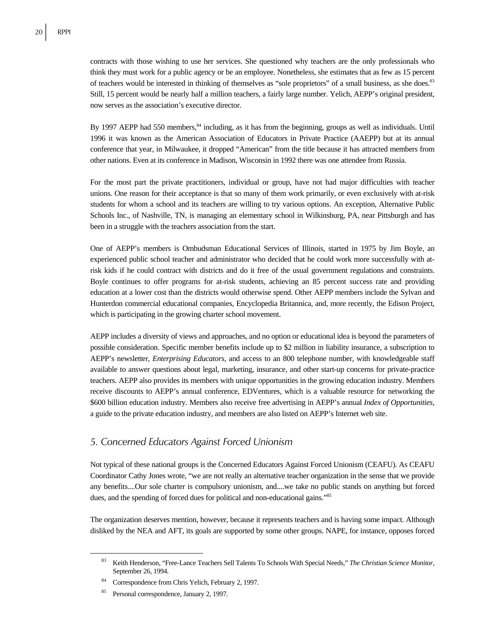contracts with those wishing to use her services. She questioned why teachers are the only professionals who think they must work for a public agency or be an employee. Nonetheless, she estimates that as few as 15 percent of teachers would be interested in thinking of themselves as "sole proprietors" of a small business, as she does.<sup>83</sup> Still, 15 percent would be nearly half a million teachers, a fairly large number. Yelich, AEPP's original president, now serves as the association's executive director.

By 1997 AEPP had 550 members,<sup>84</sup> including, as it has from the beginning, groups as well as individuals. Until 1996 it was known as the American Association of Educators in Private Practice (AAEPP) but at its annual conference that year, in Milwaukee, it dropped "American" from the title because it has attracted members from other nations. Even at its conference in Madison, Wisconsin in 1992 there was one attendee from Russia.

For the most part the private practitioners, individual or group, have not had major difficulties with teacher unions. One reason for their acceptance is that so many of them work primarily, or even exclusively with at-risk students for whom a school and its teachers are willing to try various options. An exception, Alternative Public Schools Inc., of Nashville, TN, is managing an elementary school in Wilkinsburg, PA, near Pittsburgh and has been in a struggle with the teachers association from the start.

One of AEPP's members is Ombudsman Educational Services of Illinois, started in 1975 by Jim Boyle, an experienced public school teacher and administrator who decided that he could work more successfully with atrisk kids if he could contract with districts and do it free of the usual government regulations and constraints. Boyle continues to offer programs for at-risk students, achieving an 85 percent success rate and providing education at a lower cost than the districts would otherwise spend. Other AEPP members include the Sylvan and Hunterdon commercial educational companies, Encyclopedia Britannica, and, more recently, the Edison Project, which is participating in the growing charter school movement.

AEPP includes a diversity of views and approaches, and no option or educational idea is beyond the parameters of possible consideration. Specific member benefits include up to \$2 million in liability insurance, a subscription to AEPP's newsletter, *Enterprising Educators*, and access to an 800 telephone number, with knowledgeable staff available to answer questions about legal, marketing, insurance, and other start-up concerns for private-practice teachers. AEPP also provides its members with unique opportunities in the growing education industry. Members receive discounts to AEPP's annual conference, EDVentures, which is a valuable resource for networking the \$600 billion education industry. Members also receive free advertising in AEPP's annual *Index of Opportunities,*  a guide to the private education industry, and members are also listed on AEPP's Internet web site.

### *5. Concerned Educators Against Forced Unionism*

Not typical of these national groups is the Concerned Educators Against Forced Unionism (CEAFU). As CEAFU Coordinator Cathy Jones wrote, "we are not really an alternative teacher organization in the sense that we provide any benefits....Our sole charter is compulsory unionism, and....we take no public stands on anything but forced dues, and the spending of forced dues for political and non-educational gains."85

The organization deserves mention, however, because it represents teachers and is having some impact. Although disliked by the NEA and AFT, its goals are supported by some other groups. NAPE, for instance, opposes forced

 <sup>83</sup> Keith Henderson, "Free-Lance Teachers Sell Talents To Schools With Special Needs," *The Christian Science Monitor*, September 26, 1994.

<sup>84</sup> Correspondence from Chris Yelich, February 2, 1997.

<sup>85</sup> Personal correspondence, January 2, 1997.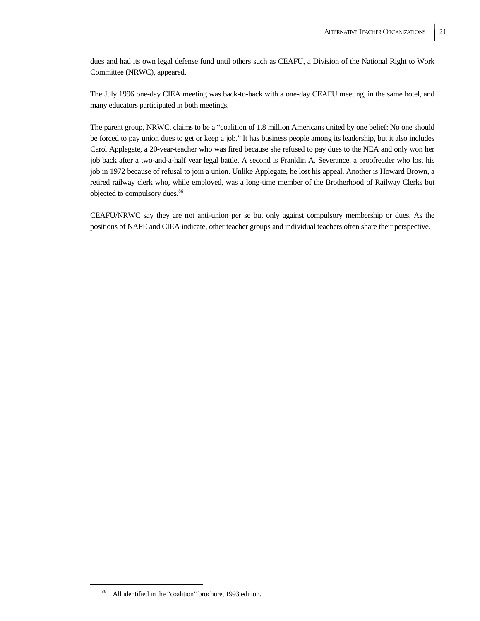dues and had its own legal defense fund until others such as CEAFU, a Division of the National Right to Work Committee (NRWC), appeared.

The July 1996 one-day CIEA meeting was back-to-back with a one-day CEAFU meeting, in the same hotel, and many educators participated in both meetings.

The parent group, NRWC, claims to be a "coalition of 1.8 million Americans united by one belief: No one should be forced to pay union dues to get or keep a job." It has business people among its leadership, but it also includes Carol Applegate, a 20-year-teacher who was fired because she refused to pay dues to the NEA and only won her job back after a two-and-a-half year legal battle. A second is Franklin A. Severance, a proofreader who lost his job in 1972 because of refusal to join a union. Unlike Applegate, he lost his appeal. Another is Howard Brown, a retired railway clerk who, while employed, was a long-time member of the Brotherhood of Railway Clerks but objected to compulsory dues.<sup>86</sup>

CEAFU/NRWC say they are not anti-union per se but only against compulsory membership or dues. As the positions of NAPE and CIEA indicate, other teacher groups and individual teachers often share their perspective.

 <sup>86</sup> All identified in the "coalition" brochure, 1993 edition.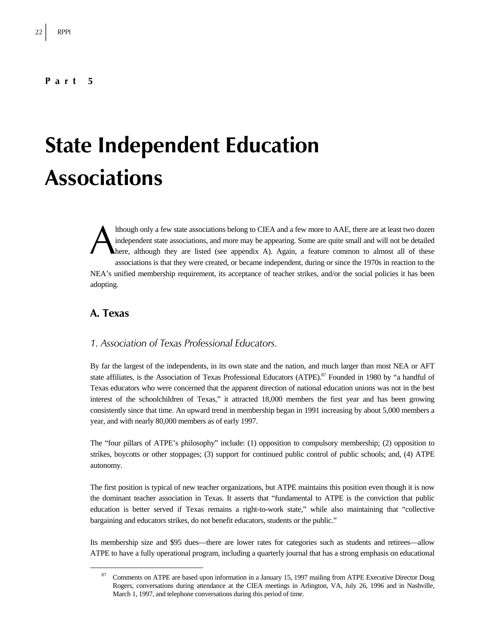#### **Part 5**

# **State Independent Education Associations**

lthough only a few state associations belong to CIEA and a few more to AAE, there are at least two dozen independent state associations, and more may be appearing. Some are quite small and will not be detailed here, although they are listed (see appendix A). Again, a feature common to almost all of these associations is that they were created, or became independent, during or since the 1970s in reaction to the NEA's unified membership requirement, its acceptance of teacher strikes, and/or the social policies it has been adopting. A

### **A. Texas**

### *1. Association of Texas Professional Educators.*

By far the largest of the independents, in its own state and the nation, and much larger than most NEA or AFT state affiliates, is the Association of Texas Professional Educators (ATPE).<sup>87</sup> Founded in 1980 by "a handful of Texas educators who were concerned that the apparent direction of national education unions was not in the best interest of the schoolchildren of Texas," it attracted 18,000 members the first year and has been growing consistently since that time. An upward trend in membership began in 1991 increasing by about 5,000 members a year, and with nearly 80,000 members as of early 1997.

The "four pillars of ATPE's philosophy" include: (1) opposition to compulsory membership; (2) opposition to strikes, boycotts or other stoppages; (3) support for continued public control of public schools; and, (4) ATPE autonomy.

The first position is typical of new teacher organizations, but ATPE maintains this position even though it is now the dominant teacher association in Texas. It asserts that "fundamental to ATPE is the conviction that public education is better served if Texas remains a right-to-work state," while also maintaining that "collective bargaining and educators strikes, do not benefit educators, students or the public."

Its membership size and \$95 dues—there are lower rates for categories such as students and retirees—allow ATPE to have a fully operational program, including a quarterly journal that has a strong emphasis on educational

<sup>&</sup>lt;sup>87</sup> Comments on ATPE are based upon information in a January 15, 1997 mailing from ATPE Executive Director Doug Rogers, conversations during attendance at the CIEA meetings in Arlington, VA, July 26, 1996 and in Nashville, March 1, 1997, and telephone conversations during this period of time.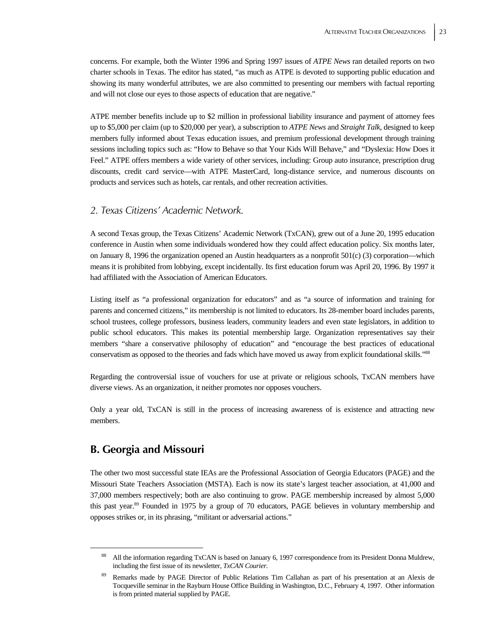concerns. For example, both the Winter 1996 and Spring 1997 issues of *ATPE News* ran detailed reports on two charter schools in Texas. The editor has stated, "as much as ATPE is devoted to supporting public education and showing its many wonderful attributes, we are also committed to presenting our members with factual reporting and will not close our eyes to those aspects of education that are negative."

ATPE member benefits include up to \$2 million in professional liability insurance and payment of attorney fees up to \$5,000 per claim (up to \$20,000 per year), a subscription to *ATPE News* and *Straight Talk,* designed to keep members fully informed about Texas education issues, and premium professional development through training sessions including topics such as: "How to Behave so that Your Kids Will Behave," and "Dyslexia: How Does it Feel." ATPE offers members a wide variety of other services, including: Group auto insurance, prescription drug discounts, credit card service—with ATPE MasterCard, long-distance service, and numerous discounts on products and services such as hotels, car rentals, and other recreation activities.

### *2. Texas Citizens' Academic Network.*

A second Texas group, the Texas Citizens' Academic Network (TxCAN), grew out of a June 20, 1995 education conference in Austin when some individuals wondered how they could affect education policy. Six months later, on January 8, 1996 the organization opened an Austin headquarters as a nonprofit 501(c) (3) corporation—which means it is prohibited from lobbying, except incidentally. Its first education forum was April 20, 1996. By 1997 it had affiliated with the Association of American Educators.

Listing itself as "a professional organization for educators" and as "a source of information and training for parents and concerned citizens," its membership is not limited to educators. Its 28-member board includes parents, school trustees, college professors, business leaders, community leaders and even state legislators, in addition to public school educators. This makes its potential membership large. Organization representatives say their members "share a conservative philosophy of education" and "encourage the best practices of educational conservatism as opposed to the theories and fads which have moved us away from explicit foundational skills."<sup>88</sup>

Regarding the controversial issue of vouchers for use at private or religious schools, TxCAN members have diverse views. As an organization, it neither promotes nor opposes vouchers.

Only a year old, TxCAN is still in the process of increasing awareness of is existence and attracting new members.

## **B. Georgia and Missouri**

The other two most successful state IEAs are the Professional Association of Georgia Educators (PAGE) and the Missouri State Teachers Association (MSTA). Each is now its state's largest teacher association, at 41,000 and 37,000 members respectively; both are also continuing to grow. PAGE membership increased by almost 5,000 this past year.89 Founded in 1975 by a group of 70 educators, PAGE believes in voluntary membership and opposes strikes or, in its phrasing, "militant or adversarial actions."

 <sup>88</sup> All the information regarding TxCAN is based on January 6, 1997 correspondence from its President Donna Muldrew, including the first issue of its newsletter, *TxCAN Courier.*

<sup>89</sup> Remarks made by PAGE Director of Public Relations Tim Callahan as part of his presentation at an Alexis de Tocqueville seminar in the Rayburn House Office Building in Washington, D.C., February 4, 1997. Other information is from printed material supplied by PAGE.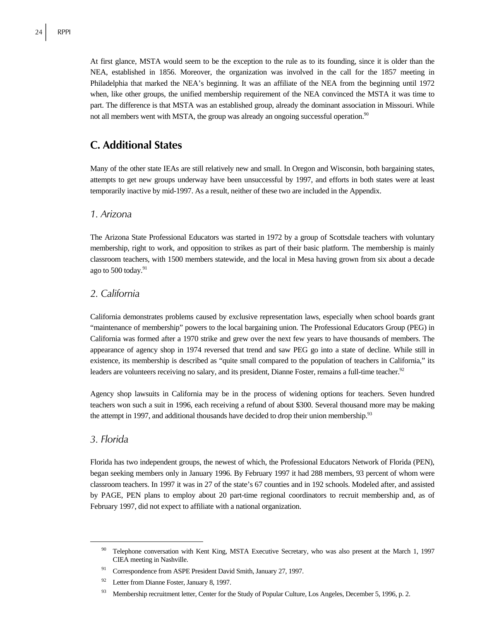24 RPPI

At first glance, MSTA would seem to be the exception to the rule as to its founding, since it is older than the NEA, established in 1856. Moreover, the organization was involved in the call for the 1857 meeting in Philadelphia that marked the NEA's beginning. It was an affiliate of the NEA from the beginning until 1972 when, like other groups, the unified membership requirement of the NEA convinced the MSTA it was time to part. The difference is that MSTA was an established group, already the dominant association in Missouri. While not all members went with MSTA, the group was already an ongoing successful operation.<sup>90</sup>

### **C. Additional States**

Many of the other state IEAs are still relatively new and small. In Oregon and Wisconsin, both bargaining states, attempts to get new groups underway have been unsuccessful by 1997, and efforts in both states were at least temporarily inactive by mid-1997. As a result, neither of these two are included in the Appendix.

### *1. Arizona*

The Arizona State Professional Educators was started in 1972 by a group of Scottsdale teachers with voluntary membership, right to work, and opposition to strikes as part of their basic platform. The membership is mainly classroom teachers, with 1500 members statewide, and the local in Mesa having grown from six about a decade ago to 500 today. $91$ 

### *2. California*

California demonstrates problems caused by exclusive representation laws, especially when school boards grant "maintenance of membership" powers to the local bargaining union. The Professional Educators Group (PEG) in California was formed after a 1970 strike and grew over the next few years to have thousands of members. The appearance of agency shop in 1974 reversed that trend and saw PEG go into a state of decline. While still in existence, its membership is described as "quite small compared to the population of teachers in California," its leaders are volunteers receiving no salary, and its president, Dianne Foster, remains a full-time teacher.<sup>92</sup>

Agency shop lawsuits in California may be in the process of widening options for teachers. Seven hundred teachers won such a suit in 1996, each receiving a refund of about \$300. Several thousand more may be making the attempt in 1997, and additional thousands have decided to drop their union membership.<sup>93</sup>

### *3. Florida*

Florida has two independent groups, the newest of which, the Professional Educators Network of Florida (PEN), began seeking members only in January 1996. By February 1997 it had 288 members, 93 percent of whom were classroom teachers. In 1997 it was in 27 of the state's 67 counties and in 192 schools. Modeled after, and assisted by PAGE, PEN plans to employ about 20 part-time regional coordinators to recruit membership and, as of February 1997, did not expect to affiliate with a national organization.

Telephone conversation with Kent King, MSTA Executive Secretary, who was also present at the March 1, 1997 CIEA meeting in Nashville.

Correspondence from ASPE President David Smith, January 27, 1997.

<sup>92</sup> Letter from Dianne Foster, January 8, 1997.

<sup>&</sup>lt;sup>93</sup> Membership recruitment letter, Center for the Study of Popular Culture, Los Angeles, December 5, 1996, p. 2.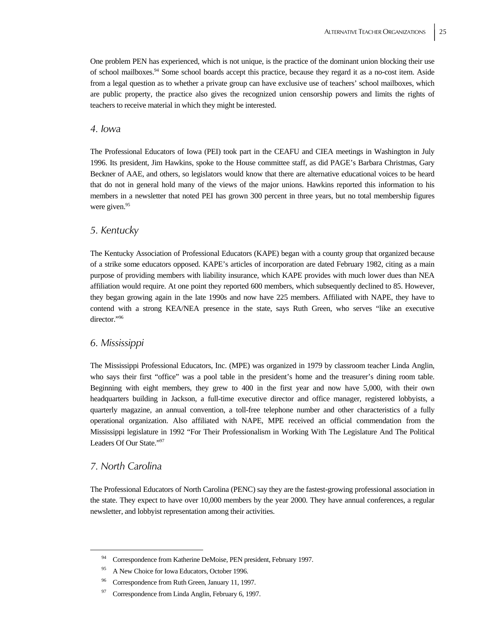One problem PEN has experienced, which is not unique, is the practice of the dominant union blocking their use of school mailboxes.94 Some school boards accept this practice, because they regard it as a no-cost item. Aside from a legal question as to whether a private group can have exclusive use of teachers' school mailboxes, which are public property, the practice also gives the recognized union censorship powers and limits the rights of teachers to receive material in which they might be interested.

### *4. Iowa*

The Professional Educators of Iowa (PEI) took part in the CEAFU and CIEA meetings in Washington in July 1996. Its president, Jim Hawkins, spoke to the House committee staff, as did PAGE's Barbara Christmas, Gary Beckner of AAE, and others, so legislators would know that there are alternative educational voices to be heard that do not in general hold many of the views of the major unions. Hawkins reported this information to his members in a newsletter that noted PEI has grown 300 percent in three years, but no total membership figures were given.<sup>95</sup>

### *5. Kentucky*

The Kentucky Association of Professional Educators (KAPE) began with a county group that organized because of a strike some educators opposed. KAPE's articles of incorporation are dated February 1982, citing as a main purpose of providing members with liability insurance, which KAPE provides with much lower dues than NEA affiliation would require. At one point they reported 600 members, which subsequently declined to 85. However, they began growing again in the late 1990s and now have 225 members. Affiliated with NAPE, they have to contend with a strong KEA/NEA presence in the state, says Ruth Green, who serves "like an executive director."96

### *6. Mississippi*

The Mississippi Professional Educators, Inc. (MPE) was organized in 1979 by classroom teacher Linda Anglin, who says their first "office" was a pool table in the president's home and the treasurer's dining room table. Beginning with eight members, they grew to 400 in the first year and now have 5,000, with their own headquarters building in Jackson, a full-time executive director and office manager, registered lobbyists, a quarterly magazine, an annual convention, a toll-free telephone number and other characteristics of a fully operational organization. Also affiliated with NAPE, MPE received an official commendation from the Mississippi legislature in 1992 "For Their Professionalism in Working With The Legislature And The Political Leaders Of Our State."97

### *7. North Carolina*

The Professional Educators of North Carolina (PENC) say they are the fastest-growing professional association in the state. They expect to have over 10,000 members by the year 2000. They have annual conferences, a regular newsletter, and lobbyist representation among their activities.

<sup>&</sup>lt;sup>94</sup> Correspondence from Katherine DeMoise, PEN president, February 1997.

<sup>&</sup>lt;sup>95</sup> A New Choice for Iowa Educators, October 1996.

<sup>&</sup>lt;sup>96</sup> Correspondence from Ruth Green, January 11, 1997.

<sup>&</sup>lt;sup>97</sup> Correspondence from Linda Anglin, February 6, 1997.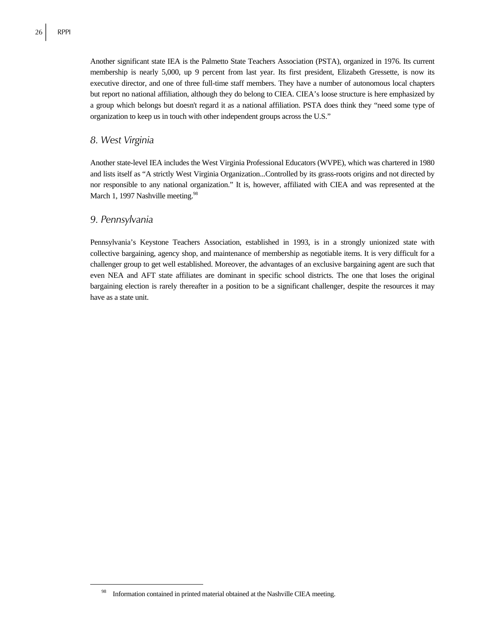Another significant state IEA is the Palmetto State Teachers Association (PSTA), organized in 1976. Its current membership is nearly 5,000, up 9 percent from last year. Its first president, Elizabeth Gressette, is now its executive director, and one of three full-time staff members. They have a number of autonomous local chapters but report no national affiliation, although they do belong to CIEA. CIEA's loose structure is here emphasized by a group which belongs but doesn't regard it as a national affiliation. PSTA does think they "need some type of organization to keep us in touch with other independent groups across the U.S."

### *8. West Virginia*

Another state-level IEA includes the West Virginia Professional Educators (WVPE), which was chartered in 1980 and lists itself as "A strictly West Virginia Organization...Controlled by its grass-roots origins and not directed by nor responsible to any national organization." It is, however, affiliated with CIEA and was represented at the March 1, 1997 Nashville meeting.<sup>98</sup>

### *9. Pennsylvania*

Pennsylvania's Keystone Teachers Association, established in 1993, is in a strongly unionized state with collective bargaining, agency shop, and maintenance of membership as negotiable items. It is very difficult for a challenger group to get well established. Moreover, the advantages of an exclusive bargaining agent are such that even NEA and AFT state affiliates are dominant in specific school districts. The one that loses the original bargaining election is rarely thereafter in a position to be a significant challenger, despite the resources it may have as a state unit.

 <sup>98</sup> Information contained in printed material obtained at the Nashville CIEA meeting.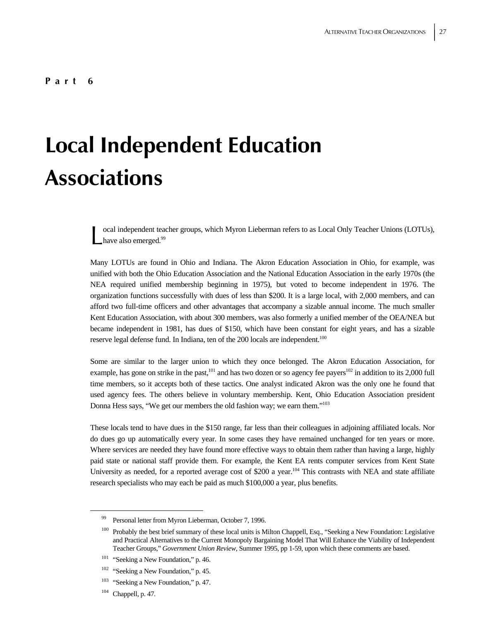# **Local Independent Education Associations**

ocal independent teacher groups, which Myron Lieberman refers to as Local Only Teacher Unions (LOTUs), ocal independent tead.<br>have also emerged.<sup>99</sup>

Many LOTUs are found in Ohio and Indiana. The Akron Education Association in Ohio, for example, was unified with both the Ohio Education Association and the National Education Association in the early 1970s (the NEA required unified membership beginning in 1975), but voted to become independent in 1976. The organization functions successfully with dues of less than \$200. It is a large local, with 2,000 members, and can afford two full-time officers and other advantages that accompany a sizable annual income. The much smaller Kent Education Association, with about 300 members, was also formerly a unified member of the OEA/NEA but became independent in 1981, has dues of \$150, which have been constant for eight years, and has a sizable reserve legal defense fund. In Indiana, ten of the 200 locals are independent.<sup>100</sup>

Some are similar to the larger union to which they once belonged. The Akron Education Association, for example, has gone on strike in the past,<sup>101</sup> and has two dozen or so agency fee payers<sup>102</sup> in addition to its 2,000 full time members, so it accepts both of these tactics. One analyst indicated Akron was the only one he found that used agency fees. The others believe in voluntary membership. Kent, Ohio Education Association president Donna Hess says, "We get our members the old fashion way; we earn them."103

These locals tend to have dues in the \$150 range, far less than their colleagues in adjoining affiliated locals. Nor do dues go up automatically every year. In some cases they have remained unchanged for ten years or more. Where services are needed they have found more effective ways to obtain them rather than having a large, highly paid state or national staff provide them. For example, the Kent EA rents computer services from Kent State University as needed, for a reported average cost of \$200 a year.<sup>104</sup> This contrasts with NEA and state affiliate research specialists who may each be paid as much \$100,000 a year, plus benefits.

 <sup>99</sup> Personal letter from Myron Lieberman, October 7, 1996.

<sup>&</sup>lt;sup>100</sup> Probably the best brief summary of these local units is Milton Chappell, Esq., "Seeking a New Foundation: Legislative and Practical Alternatives to the Current Monopoly Bargaining Model That Will Enhance the Viability of Independent Teacher Groups," *Government Union Review*, Summer 1995, pp 1-59, upon which these comments are based.

<sup>&</sup>lt;sup>101</sup> "Seeking a New Foundation," p. 46.

<sup>&</sup>lt;sup>102</sup> "Seeking a New Foundation," p. 45.

<sup>&</sup>lt;sup>103</sup> "Seeking a New Foundation," p. 47.

<sup>104</sup> Chappell, p. 47.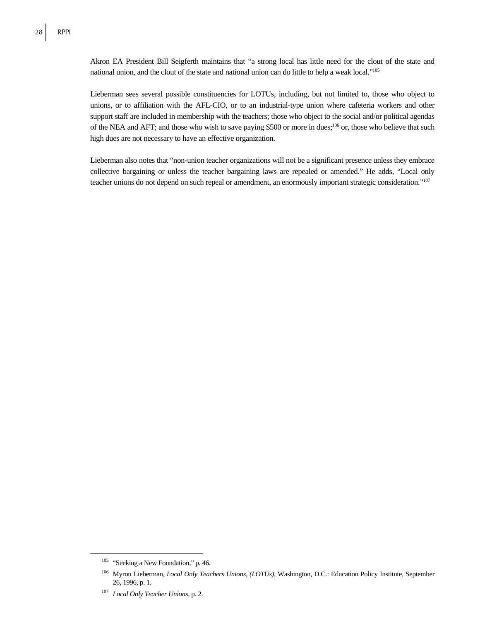Akron EA President Bill Seigferth maintains that "a strong local has little need for the clout of the state and national union, and the clout of the state and national union can do little to help a weak local."105

Lieberman sees several possible constituencies for LOTUs, including, but not limited to, those who object to unions, or to affiliation with the AFL-CIO, or to an industrial-type union where cafeteria workers and other support staff are included in membership with the teachers; those who object to the social and/or political agendas of the NEA and AFT; and those who wish to save paying \$500 or more in dues;<sup>106</sup> or, those who believe that such high dues are not necessary to have an effective organization.

Lieberman also notes that "non-union teacher organizations will not be a significant presence unless they embrace collective bargaining or unless the teacher bargaining laws are repealed or amended." He adds, "Local only teacher unions do not depend on such repeal or amendment, an enormously important strategic consideration."107

<sup>&</sup>lt;sup>105</sup> "Seeking a New Foundation," p. 46.

<sup>106</sup> Myron Lieberman, *Local Only Teachers Unions, (LOTUs)*, Washington, D.C.: Education Policy Institute, September 26, 1996, p. 1.

<sup>107</sup> *Local Only Teacher Unions*, p. 2.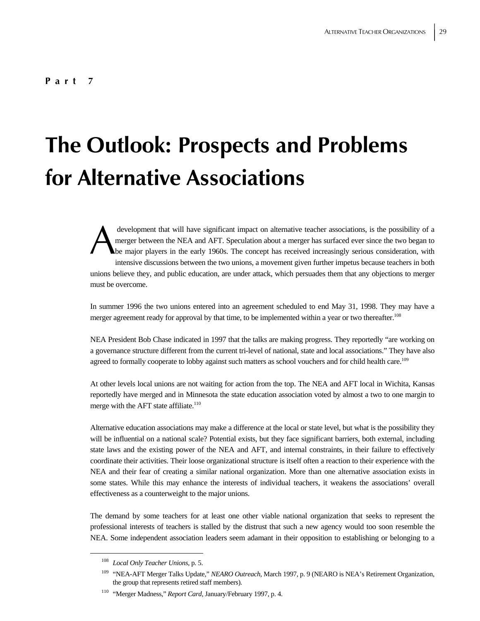# **The Outlook: Prospects and Problems for Alternative Associations**

 development that will have significant impact on alternative teacher associations, is the possibility of a merger between the NEA and AFT. Speculation about a merger has surfaced ever since the two began to be major players in the early 1960s. The concept has received increasingly serious consideration, with intensive discussions between the two unions, a movement given further impetus because teachers in both unions believe they, and public education, are under attack, which persuades them that any objections to merger must be overcome. A

In summer 1996 the two unions entered into an agreement scheduled to end May 31, 1998. They may have a merger agreement ready for approval by that time, to be implemented within a year or two thereafter.<sup>108</sup>

NEA President Bob Chase indicated in 1997 that the talks are making progress. They reportedly "are working on a governance structure different from the current tri-level of national, state and local associations." They have also agreed to formally cooperate to lobby against such matters as school vouchers and for child health care.<sup>109</sup>

At other levels local unions are not waiting for action from the top. The NEA and AFT local in Wichita, Kansas reportedly have merged and in Minnesota the state education association voted by almost a two to one margin to merge with the AFT state affiliate.<sup>110</sup>

Alternative education associations may make a difference at the local or state level, but what is the possibility they will be influential on a national scale? Potential exists, but they face significant barriers, both external, including state laws and the existing power of the NEA and AFT, and internal constraints, in their failure to effectively coordinate their activities. Their loose organizational structure is itself often a reaction to their experience with the NEA and their fear of creating a similar national organization. More than one alternative association exists in some states. While this may enhance the interests of individual teachers, it weakens the associations' overall effectiveness as a counterweight to the major unions.

The demand by some teachers for at least one other viable national organization that seeks to represent the professional interests of teachers is stalled by the distrust that such a new agency would too soon resemble the NEA. Some independent association leaders seem adamant in their opposition to establishing or belonging to a

 <sup>108</sup> *Local Only Teacher Unions*, p. 5.

<sup>109 &</sup>quot;NEA-AFT Merger Talks Update," *NEARO Outreach*, March 1997, p. 9 (NEARO is NEA's Retirement Organization, the group that represents retired staff members).

<sup>110 &</sup>quot;Merger Madness," *Report Card*, January/February 1997, p. 4.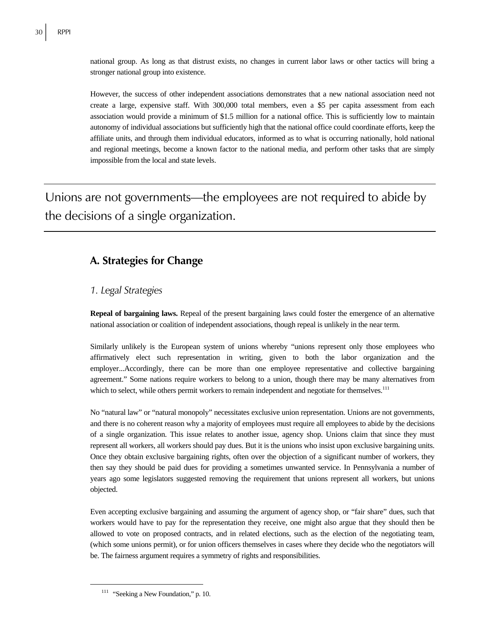national group. As long as that distrust exists, no changes in current labor laws or other tactics will bring a stronger national group into existence.

However, the success of other independent associations demonstrates that a new national association need not create a large, expensive staff. With 300,000 total members, even a \$5 per capita assessment from each association would provide a minimum of \$1.5 million for a national office. This is sufficiently low to maintain autonomy of individual associations but sufficiently high that the national office could coordinate efforts, keep the affiliate units, and through them individual educators, informed as to what is occurring nationally, hold national and regional meetings, become a known factor to the national media, and perform other tasks that are simply impossible from the local and state levels.

Unions are not governments—the employees are not required to abide by the decisions of a single organization.

## **A. Strategies for Change**

### *1. Legal Strategies*

**Repeal of bargaining laws.** Repeal of the present bargaining laws could foster the emergence of an alternative national association or coalition of independent associations, though repeal is unlikely in the near term.

Similarly unlikely is the European system of unions whereby "unions represent only those employees who affirmatively elect such representation in writing, given to both the labor organization and the employer...Accordingly, there can be more than one employee representative and collective bargaining agreement." Some nations require workers to belong to a union, though there may be many alternatives from which to select, while others permit workers to remain independent and negotiate for themselves.<sup>111</sup>

No "natural law" or "natural monopoly" necessitates exclusive union representation. Unions are not governments, and there is no coherent reason why a majority of employees must require all employees to abide by the decisions of a single organization. This issue relates to another issue, agency shop. Unions claim that since they must represent all workers, all workers should pay dues. But it is the unions who insist upon exclusive bargaining units. Once they obtain exclusive bargaining rights, often over the objection of a significant number of workers, they then say they should be paid dues for providing a sometimes unwanted service. In Pennsylvania a number of years ago some legislators suggested removing the requirement that unions represent all workers, but unions objected.

Even accepting exclusive bargaining and assuming the argument of agency shop, or "fair share" dues, such that workers would have to pay for the representation they receive, one might also argue that they should then be allowed to vote on proposed contracts, and in related elections, such as the election of the negotiating team, (which some unions permit), or for union officers themselves in cases where they decide who the negotiators will be. The fairness argument requires a symmetry of rights and responsibilities.

<sup>&</sup>lt;sup>111</sup> "Seeking a New Foundation," p. 10.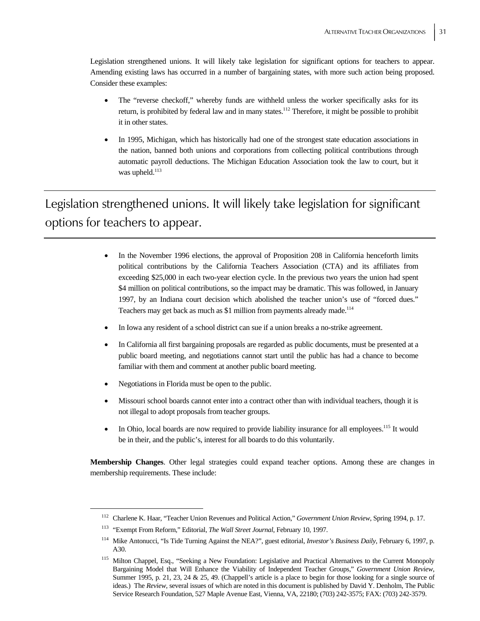Legislation strengthened unions. It will likely take legislation for significant options for teachers to appear. Amending existing laws has occurred in a number of bargaining states, with more such action being proposed. Consider these examples:

- The "reverse checkoff," whereby funds are withheld unless the worker specifically asks for its return, is prohibited by federal law and in many states.<sup>112</sup> Therefore, it might be possible to prohibit it in other states.
- In 1995, Michigan, which has historically had one of the strongest state education associations in the nation, banned both unions and corporations from collecting political contributions through automatic payroll deductions. The Michigan Education Association took the law to court, but it was upheld.<sup>113</sup>

Legislation strengthened unions. It will likely take legislation for significant options for teachers to appear.

- In the November 1996 elections, the approval of Proposition 208 in California henceforth limits political contributions by the California Teachers Association (CTA) and its affiliates from exceeding \$25,000 in each two-year election cycle. In the previous two years the union had spent \$4 million on political contributions, so the impact may be dramatic. This was followed, in January 1997, by an Indiana court decision which abolished the teacher union's use of "forced dues." Teachers may get back as much as \$1 million from payments already made.<sup>114</sup>
- In Iowa any resident of a school district can sue if a union breaks a no-strike agreement.
- In California all first bargaining proposals are regarded as public documents, must be presented at a public board meeting, and negotiations cannot start until the public has had a chance to become familiar with them and comment at another public board meeting.
- Negotiations in Florida must be open to the public.
- Missouri school boards cannot enter into a contract other than with individual teachers, though it is not illegal to adopt proposals from teacher groups.
- In Ohio, local boards are now required to provide liability insurance for all employees.<sup>115</sup> It would be in their, and the public's, interest for all boards to do this voluntarily.

**Membership Changes**. Other legal strategies could expand teacher options. Among these are changes in membership requirements. These include:

 <sup>112</sup> Charlene K. Haar, "Teacher Union Revenues and Political Action," *Government Union Review*, Spring 1994, p. 17.

<sup>113 &</sup>quot;Exempt From Reform," Editorial, *The Wall Street Journal*, February 10, 1997.

<sup>114</sup> Mike Antonucci, "Is Tide Turning Against the NEA?", guest editorial, *Investor's Business Daily*, February 6, 1997, p. A30.

<sup>&</sup>lt;sup>115</sup> Milton Chappel, Esq., "Seeking a New Foundation: Legislative and Practical Alternatives to the Current Monopoly Bargaining Model that Will Enhance the Viability of Independent Teacher Groups," *Government Union Review*, Summer 1995, p. 21, 23, 24 & 25, 49. (Chappell's article is a place to begin for those looking for a single source of ideas.) The *Review*, several issues of which are noted in this document is published by David Y. Denholm, The Public Service Research Foundation, 527 Maple Avenue East, Vienna, VA, 22180; (703) 242-3575; FAX: (703) 242-3579.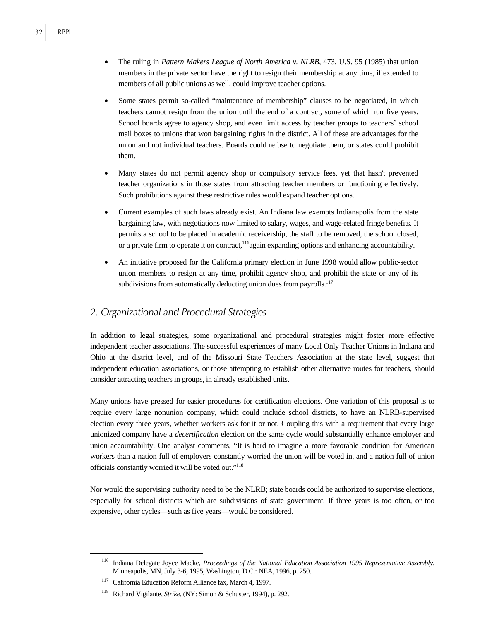- The ruling in *Pattern Makers League of North America v. NLRB*, 473, U.S. 95 (1985) that union members in the private sector have the right to resign their membership at any time, if extended to members of all public unions as well, could improve teacher options.
- Some states permit so-called "maintenance of membership" clauses to be negotiated, in which teachers cannot resign from the union until the end of a contract, some of which run five years. School boards agree to agency shop, and even limit access by teacher groups to teachers' school mail boxes to unions that won bargaining rights in the district. All of these are advantages for the union and not individual teachers. Boards could refuse to negotiate them, or states could prohibit them.
- Many states do not permit agency shop or compulsory service fees, yet that hasn't prevented teacher organizations in those states from attracting teacher members or functioning effectively. Such prohibitions against these restrictive rules would expand teacher options.
- Current examples of such laws already exist. An Indiana law exempts Indianapolis from the state bargaining law, with negotiations now limited to salary, wages, and wage-related fringe benefits. It permits a school to be placed in academic receivership, the staff to be removed, the school closed, or a private firm to operate it on contract,<sup>116</sup>again expanding options and enhancing accountability.
- An initiative proposed for the California primary election in June 1998 would allow public-sector union members to resign at any time, prohibit agency shop, and prohibit the state or any of its subdivisions from automatically deducting union dues from payrolls.<sup>117</sup>

### *2. Organizational and Procedural Strategies*

In addition to legal strategies, some organizational and procedural strategies might foster more effective independent teacher associations. The successful experiences of many Local Only Teacher Unions in Indiana and Ohio at the district level, and of the Missouri State Teachers Association at the state level, suggest that independent education associations, or those attempting to establish other alternative routes for teachers, should consider attracting teachers in groups, in already established units.

Many unions have pressed for easier procedures for certification elections. One variation of this proposal is to require every large nonunion company, which could include school districts, to have an NLRB-supervised election every three years, whether workers ask for it or not. Coupling this with a requirement that every large unionized company have a *decertification* election on the same cycle would substantially enhance employer and union accountability. One analyst comments, "It is hard to imagine a more favorable condition for American workers than a nation full of employers constantly worried the union will be voted in, and a nation full of union officials constantly worried it will be voted out."118

Nor would the supervising authority need to be the NLRB; state boards could be authorized to supervise elections, especially for school districts which are subdivisions of state government. If three years is too often, or too expensive, other cycles—such as five years—would be considered.

 <sup>116</sup> Indiana Delegate Joyce Macke, *Proceedings of the National Education Association 1995 Representative Assembly*, Minneapolis, MN, July 3-6, 1995, Washington, D.C.: NEA, 1996, p. 250.

<sup>117</sup> California Education Reform Alliance fax, March 4, 1997.

<sup>118</sup> Richard Vigilante, *Strike*, (NY: Simon & Schuster, 1994), p. 292.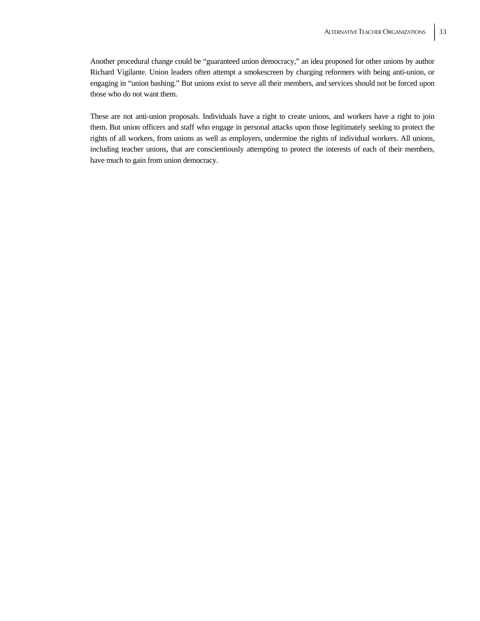Another procedural change could be "guaranteed union democracy," an idea proposed for other unions by author Richard Vigilante. Union leaders often attempt a smokescreen by charging reformers with being anti-union, or engaging in "union bashing." But unions exist to serve all their members, and services should not be forced upon those who do not want them.

These are not anti-union proposals. Individuals have a right to create unions, and workers have a right to join them. But union officers and staff who engage in personal attacks upon those legitimately seeking to protect the rights of all workers, from unions as well as employers, undermine the rights of individual workers. All unions, including teacher unions, that are conscientiously attempting to protect the interests of each of their members, have much to gain from union democracy.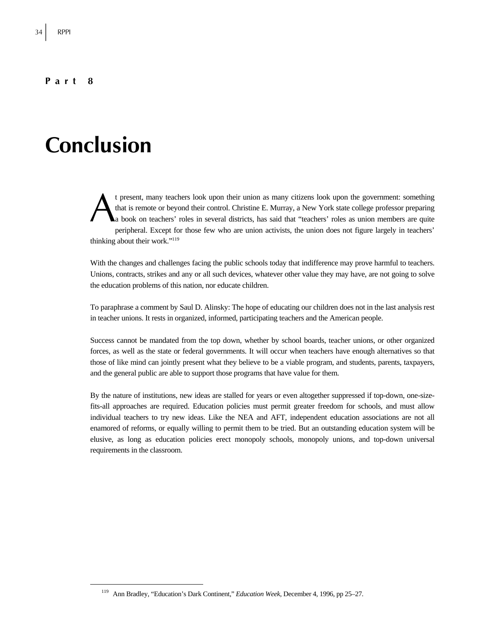### **Part 8**

# **Conclusion**

t present, many teachers look upon their union as many citizens look upon the government: something that is remote or beyond their control. Christine E. Murray, a New York state college professor preparing a book on teachers' roles in several districts, has said that "teachers' roles as union members are quite peripheral. Except for those few who are union activists, the union does not figure largely in teachers' thinking about their work."<sup>119</sup> A

With the changes and challenges facing the public schools today that indifference may prove harmful to teachers. Unions, contracts, strikes and any or all such devices, whatever other value they may have, are not going to solve the education problems of this nation, nor educate children.

To paraphrase a comment by Saul D. Alinsky: The hope of educating our children does not in the last analysis rest in teacher unions. It rests in organized, informed, participating teachers and the American people.

Success cannot be mandated from the top down, whether by school boards, teacher unions, or other organized forces, as well as the state or federal governments. It will occur when teachers have enough alternatives so that those of like mind can jointly present what they believe to be a viable program, and students, parents, taxpayers, and the general public are able to support those programs that have value for them.

By the nature of institutions, new ideas are stalled for years or even altogether suppressed if top-down, one-sizefits-all approaches are required. Education policies must permit greater freedom for schools, and must allow individual teachers to try new ideas. Like the NEA and AFT, independent education associations are not all enamored of reforms, or equally willing to permit them to be tried. But an outstanding education system will be elusive, as long as education policies erect monopoly schools, monopoly unions, and top-down universal requirements in the classroom.

 <sup>119</sup> Ann Bradley, "Education's Dark Continent," *Education Week*, December 4, 1996, pp 25–27.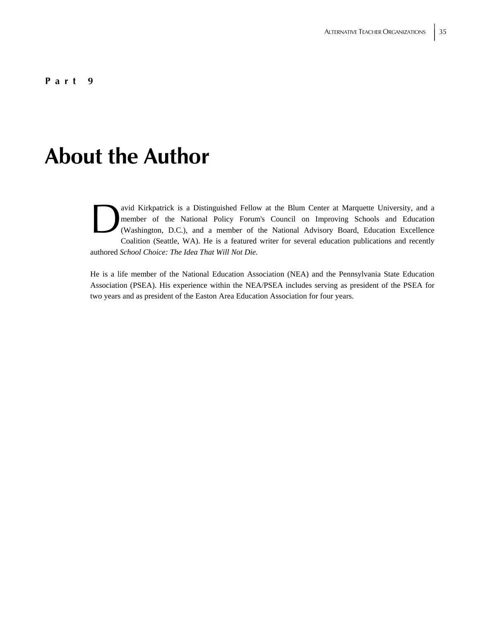# **About the Author**

avid Kirkpatrick is a Distinguished Fellow at the Blum Center at Marquette University, and a member of the National Policy Forum's Council on Improving Schools and Education (Washington, D.C.), and a member of the National Advisory Board, Education Excellence Coalition (Seattle, WA). He is a featured writer for several education publications and recently authored *School Choice: The Idea That Will Not Die.*  avid<br>
men<br>
(W.

He is a life member of the National Education Association (NEA) and the Pennsylvania State Education Association (PSEA). His experience within the NEA/PSEA includes serving as president of the PSEA for two years and as president of the Easton Area Education Association for four years.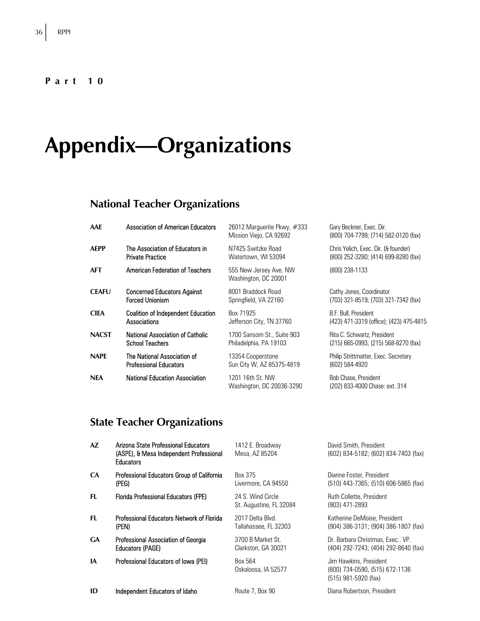### **Part 10**

# **Appendix—Organizations**

# **National Teacher Organizations**

| AAE          | <b>Association of American Educators</b>  | 26012 Marquerite Pkwy, $\#333$<br>Mission Viejo, CA 92692 | Gary Beckner, Exec. Dir.<br>(800) 704-7799; (714) 582-0120 (fax) |
|--------------|-------------------------------------------|-----------------------------------------------------------|------------------------------------------------------------------|
| <b>AEPP</b>  | The Association of Educators in           | N7425 Switzke Road                                        | Chris Yelich, Exec. Dir. (& founder)                             |
|              | <b>Private Practice</b>                   | Watertown, WI 53094                                       | (800) 252-3280; (414) 699-8280 (fax)                             |
| <b>AFT</b>   | <b>American Federation of Teachers</b>    | 555 New Jersey Ave. NW<br>Washington, DC 20001            | (800) 238-1133                                                   |
| <b>CEAFU</b> | <b>Concerned Educators Against</b>        | 8001 Braddock Road                                        | Cathy Jones, Coordinator                                         |
|              | <b>Forced Unionism</b>                    | Springfield, VA 22160                                     | (703) 321-8519; (703) 321-7342 (fax)                             |
| <b>CIEA</b>  | <b>Coalition of Independent Education</b> | Box 71925                                                 | B.F. Bull, President                                             |
|              | Associations                              | Jefferson City, TN 37760                                  | (423) 471-3319 (office); (423) 475-4815                          |
| <b>NACST</b> | <b>National Association of Catholic</b>   | 1700 Sansom St., Suite 903                                | Rita C. Schwartz, President                                      |
|              | <b>School Teachers</b>                    | Philadelphia, PA 19103                                    | $(215)$ 665-0993; $(215)$ 568-8270 (fax)                         |
| <b>NAPE</b>  | The National Association of               | 13354 Cooperstone                                         | Philip Strittmatter, Exec. Secretary                             |
|              | <b>Professional Educators</b>             | Sun City W, AZ 85375-4819                                 | (602) 584-4920                                                   |
| <b>NEA</b>   | <b>National Education Association</b>     | 1201 16th St. NW<br>Washington, DC 20036-3290             | Bob Chase, President<br>(202) 833-4000 Chase: ext. 314           |

# **State Teacher Organizations**

| AZ        | Arizona State Professional Educators<br>(ASPE), & Mesa Independent Professional<br><b>Educators</b> | 1412 E. Broadway<br>Mesa, AZ 85204           | David Smith, President<br>(602) 834-5182; (602) 834-7403 (fax)                   |
|-----------|-----------------------------------------------------------------------------------------------------|----------------------------------------------|----------------------------------------------------------------------------------|
| CA        | Professional Educators Group of California<br>(PEG)                                                 | Box 375<br>Livermore, CA 94550               | Dianne Foster, President<br>(510) 443-7365; (510) 606-5865 (fax)                 |
| FL        | <b>Florida Professional Educators (FPE)</b>                                                         | 24 S. Wind Circle<br>St. Augustine, FL 32084 | Ruth Collette, President<br>(903) 471-2893                                       |
| FL.       | <b>Professional Educators Network of Florida</b><br>(PEN)                                           | 2017 Delta Blvd<br>Tallahassee, FL 32303     | Katherine DeMoise, President<br>(904) 386-3131; (904) 386-1807 (fax)             |
| <b>GA</b> | Professional Association of Georgia<br><b>Educators (PAGE)</b>                                      | 3700 B Market St<br>Clarkston, GA 30021      | Dr. Barbara Christmas, Exec., VP.<br>(404) 292-7243; (404) 292-8640 (fax)        |
| IA        | Professional Educators of Iowa (PEI)                                                                | Box 564<br>Oskaloosa, IA 52577               | Jim Hawkins, President<br>(800) 734-0590, (515) 672-1136<br>(515) 981-5920 (fax) |
| ID        | Independent Educators of Idaho                                                                      | Route 7, Box 90                              | Diana Robertson, President                                                       |
|           |                                                                                                     |                                              |                                                                                  |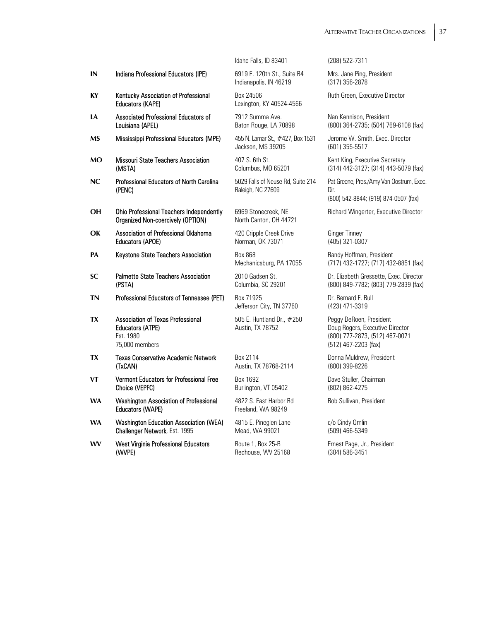| IN        | Indiana Professional Educators (IPE)                                                               |
|-----------|----------------------------------------------------------------------------------------------------|
| KY        | Kentucky Association of Professional<br><b>Educators (KAPE)</b>                                    |
| LA        | Associated Professional Educators of<br>Louisiana (APEL)                                           |
| MS        | Mississippi Professional Educators (MPE)                                                           |
| <b>MO</b> | <b>Missouri State Teachers Association</b><br>(MSTA)                                               |
| NC        | Professional Educators of North Carolina<br>(PENC)                                                 |
| OН        | <b>Ohio Professional Teachers Independently</b><br>Organized Non-coercively (OPTION)               |
| ОK        | Association of Professional Oklahoma<br><b>Educators (APOE)</b>                                    |
| РA        | Keystone State Teachers Association                                                                |
| SC        | <b>Palmetto State Teachers Association</b><br>(PSTA)                                               |
| <b>TN</b> | Professional Educators of Tennessee (PET)                                                          |
| TX        | <b>Association of Texas Professional</b><br><b>Educators (ATPE)</b><br>Est. 1980<br>75,000 members |
| TX        | <b>Texas Conservative Academic Network</b><br>(TxCAN)                                              |
| VT        | <b>Vermont Educators for Professional Free</b><br>Choice (VEPFC)                                   |
| <b>WA</b> | <b>Washington Association of Professional</b><br><b>Educators (WAPE)</b>                           |
|           | はいようしょう こまま しんけいしん<br><b>Contract Contract Ave</b>                                                 |

- **WA** Washington Education Association (WEA) Challenger Network, Est. 1995
- **WV** West Virginia Professional Educators (WVPE)

Idaho Falls, ID 83401 (208) 522-7311

**IN** Indiana Professional Educators (IPE) 6919 E. 120th St., Suite B4 Indianapolis, IN 46219

Box 24506 Lexington, KY 40524-4566

7912 Summa Ave. Baton Rouge, LA 70898

**455 N. Lamar St., #427, Box 1531** Jackson, MS 39205

407 S. 6th St. Columbus, MO 65201

5029 Falls of Neuse Rd, Suite 214 Raleigh, NC 27609

6969 Stonecreek, NE North Canton, OH 44721

420 Cripple Creek Drive Norman, OK 73071

**Box 868** Mechanicsburg, PA 17055

2010 Gadsen St. Columbia, SC 29201

Box 71925 Jefferson City, TN 37760

505 E. Huntland Dr., #250 Austin, TX 78752

Box 2114 Austin, TX 78768-2114

Box 1692 Burlington, VT 05402

4822 S. East Harbor Rd Freeland, WA 98249

4815 E. Pineglen Lane Mead, WA 99021

Route 1, Box 25-B Redhouse, WV 25168

Mrs. Jane Ping, President (317) 356-2878

Ruth Green, Executive Director

Nan Kennison, President (800) 364-2735; (504) 769-6108 (fax)

Jerome W. Smith, Exec. Director (601) 355-5517

Kent King, Executive Secretary (314) 442-3127; (314) 443-5079 (fax)

Pat Greene, Pres./Amy Van Oostrum, Exec. Dir.

(800) 542-8844; (919) 874-0507 (fax)

Richard Wingerter, Executive Director

Ginger Tinney (405) 321-0307

Randy Hoffman, President (717) 432-1727; (717) 432-8851 (fax)

Dr. Elizabeth Gressette, Exec. Director (800) 849-7782; (803) 779-2839 (fax)

Dr. Bernard F. Bull (423) 471-3319

Peggy DeRoen, President Doug Rogers, Executive Director (800) 777-2873, (512) 467-0071 (512) 467-2203 (fax)

Donna Muldrew, President (800) 399-8226

Dave Stuller, Chairman (802) 862-4275

Bob Sullivan, President

c/o Cindy Omlin (509) 466-5349

Ernest Page, Jr., President (304) 586-3451